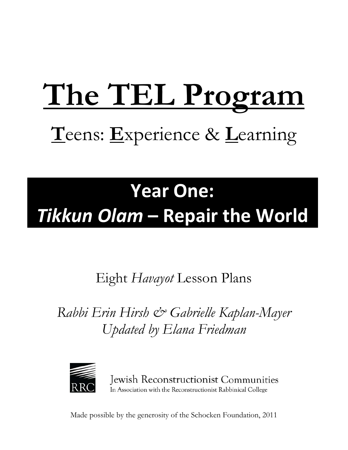# **The TEL Program T**eens: **E**xperience & **L**earning

# **Year One:**  *Tikkun Olam* **– Repair the World**

Eight *Havayot* Lesson Plans

*Rabbi Erin Hirsh & Gabrielle Kaplan-Mayer Updated by Elana Friedman* 



Jewish Reconstructionist Communities In Association with the Reconstructionist Rabbinical College

Made possible by the generosity of the Schocken Foundation, 2011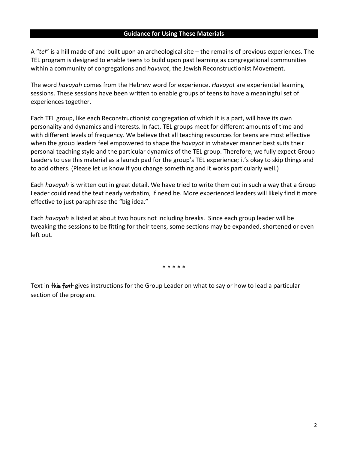#### **Guidance for Using These Materials**

A "*tel*" is a hill made of and built upon an archeological site – the remains of previous experiences. The TEL program is designed to enable teens to build upon past learning as congregational communities within a community of congregations and *havurot*, the Jewish Reconstructionist Movement.

The word *havayah* comes from the Hebrew word for experience. *Havayot* are experiential learning sessions. These sessions have been written to enable groups of teens to have a meaningful set of experiences together.

Each TEL group, like each Reconstructionist congregation of which it is a part, will have its own personality and dynamics and interests. In fact, TEL groups meet for different amounts of time and with different levels of frequency. We believe that all teaching resources for teens are most effective when the group leaders feel empowered to shape the *havayot* in whatever manner best suits their personal teaching style and the particular dynamics of the TEL group. Therefore, we fully expect Group Leaders to use this material as a launch pad for the group's TEL experience; it's okay to skip things and to add others. (Please let us know if you change something and it works particularly well.)

Each *havayah* is written out in great detail. We have tried to write them out in such a way that a Group Leader could read the text nearly verbatim, if need be. More experienced leaders will likely find it more effective to just paraphrase the "big idea."

Each *havayah* is listed at about two hours not including breaks. Since each group leader will be tweaking the sessions to be fitting for their teens, some sections may be expanded, shortened or even left out.

\* \* \* \* \*

Text in *Hais fon<sup>t</sup>* gives instructions for the Group Leader on what to say or how to lead a particular section of the program.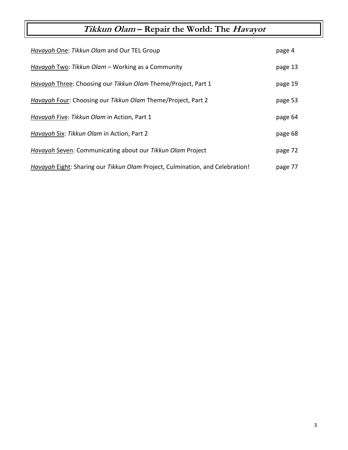# **Tikkun Olam – Repair the World: The Havayot**

| Havayah One: Tikkun Olam and Our TEL Group                                    | page 4  |
|-------------------------------------------------------------------------------|---------|
| Havayah Two: Tikkun Olam - Working as a Community                             | page 13 |
| Havayah Three: Choosing our Tikkun Olam Theme/Project, Part 1                 | page 19 |
| Havayah Four: Choosing our Tikkun Olam Theme/Project, Part 2                  | page 53 |
| Havayah Five: Tikkun Olam in Action, Part 1                                   | page 64 |
| Havayah Six: Tikkun Olam in Action, Part 2                                    | page 68 |
| Havayah Seven: Communicating about our Tikkun Olam Project                    | page 72 |
| Havayah Eight: Sharing our Tikkun Olam Project, Culmination, and Celebration! | page 77 |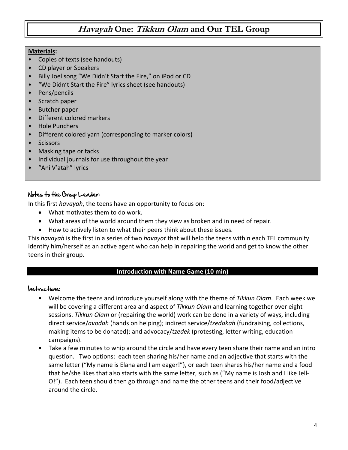# **Havayah One: Tikkun Olam and Our TEL Group**

#### **Materials:**

- Copies of texts (see handouts)
- CD player or Speakers
- Billy Joel song "We Didn't Start the Fire," on iPod or CD
- "We Didn't Start the Fire" lyrics sheet (see handouts)
- Pens/pencils
- Scratch paper
- Butcher paper
- Different colored markers
- Hole Punchers
- Different colored yarn (corresponding to marker colors)
- **Scissors**
- Masking tape or tacks
- Individual journals for use throughout the year
- "Ani V'atah" lyrics

#### Notes to the Group Leader:

In this first *havayah*, the teens have an opportunity to focus on:

- What motivates them to do work.
- What areas of the world around them they view as broken and in need of repair.
- How to actively listen to what their peers think about these issues.

This *havayah* is the first in a series of two *havayot* that will help the teens within each TEL community identify him/herself as an active agent who can help in repairing the world and get to know the other teens in their group.

#### **Introduction with Name Game (10 min)**

#### Instructions:

- Welcome the teens and introduce yourself along with the theme of *Tikkun Olam*. Each week we will be covering a different area and aspect of *Tikkun Olam* and learning together over eight sessions. *Tikkun Olam* or (repairing the world) work can be done in a variety of ways, including direct service/*avodah* (hands on helping); indirect service/*tzedakah* (fundraising, collections, making items to be donated); and advocacy/*tzedek* (protesting, letter writing, education campaigns).
- Take a few minutes to whip around the circle and have every teen share their name and an intro question. Two options: each teen sharing his/her name and an adjective that starts with the same letter ("My name is Elana and I am eager!"), or each teen shares his/her name and a food that he/she likes that also starts with the same letter, such as ("My name is Josh and I like Jell‐ O!"). Each teen should then go through and name the other teens and their food/adjective around the circle.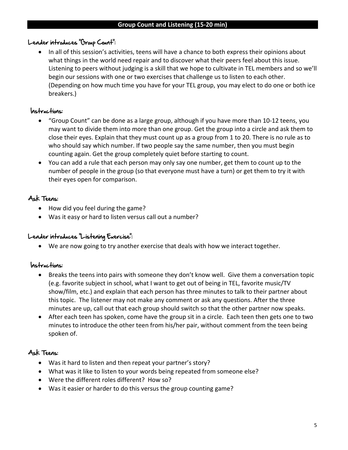#### Leader introduces "Group Count":

• In all of this session's activities, teens will have a chance to both express their opinions about what things in the world need repair and to discover what their peers feel about this issue. Listening to peers without judging is a skill that we hope to cultivate in TEL members and so we'll begin our sessions with one or two exercises that challenge us to listen to each other. (Depending on how much time you have for your TEL group, you may elect to do one or both ice breakers.)

#### Instructions:

- "Group Count" can be done as a large group, although if you have more than 10‐12 teens, you may want to divide them into more than one group. Get the group into a circle and ask them to close their eyes. Explain that they must count up as a group from 1 to 20. There is no rule as to who should say which number. If two people say the same number, then you must begin counting again. Get the group completely quiet before starting to count.
- You can add a rule that each person may only say one number, get them to count up to the number of people in the group (so that everyone must have a turn) or get them to try it with their eyes open for comparison.

#### Ask Teens:

- How did you feel during the game?
- Was it easy or hard to listen versus call out a number?

#### Leader introduces "Listening Exercise":

We are now going to try another exercise that deals with how we interact together.

#### Instructions:

- Breaks the teens into pairs with someone they don't know well. Give them a conversation topic (e.g. favorite subject in school, what I want to get out of being in TEL, favorite music/TV show/film, etc.) and explain that each person has three minutes to talk to their partner about this topic. The listener may not make any comment or ask any questions. After the three minutes are up, call out that each group should switch so that the other partner now speaks.
- After each teen has spoken, come have the group sit in a circle. Each teen then gets one to two minutes to introduce the other teen from his/her pair, without comment from the teen being spoken of.

#### Ask Teens:

- Was it hard to listen and then repeat your partner's story?
- What was it like to listen to your words being repeated from someone else?
- Were the different roles different? How so?
- Was it easier or harder to do this versus the group counting game?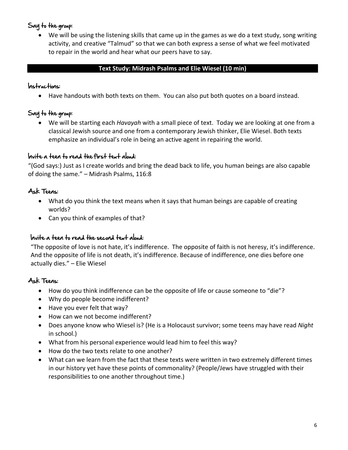#### Say to the group:

 We will be using the listening skills that came up in the games as we do a text study, song writing activity, and creative "Talmud" so that we can both express a sense of what we feel motivated to repair in the world and hear what our peers have to say.

#### **Text Study: Midrash Psalms and Elie Wiesel (10 min)**

#### Instructions:

Have handouts with both texts on them. You can also put both quotes on a board instead.

#### Say to the group:

 We will be starting each *Havayah* with a small piece of text. Today we are looking at one from a classical Jewish source and one from a contemporary Jewish thinker, Elie Wiesel. Both texts emphasize an individual's role in being an active agent in repairing the world.

#### Invite a teen to read the first text aloud:

"(God says:) Just as I create worlds and bring the dead back to life, you human beings are also capable of doing the same." – Midrash Psalms, 116:8

#### Ask Teens:

- What do you think the text means when it says that human beings are capable of creating worlds?
- Can you think of examples of that?

#### Invite a teen to read the second text aloud:

"The opposite of love is not hate, it's indifference. The opposite of faith is not heresy, it's indifference. And the opposite of life is not death, it's indifference. Because of indifference, one dies before one actually dies." – Elie Wiesel

#### Ask Teens:

- How do you think indifference can be the opposite of life or cause someone to "die"?
- Why do people become indifferent?
- Have you ever felt that way?
- How can we not become indifferent?
- Does anyone know who Wiesel is? (He is a Holocaust survivor; some teens may have read *Night* in school.)
- What from his personal experience would lead him to feel this way?
- How do the two texts relate to one another?
- What can we learn from the fact that these texts were written in two extremely different times in our history yet have these points of commonality? (People/Jews have struggled with their responsibilities to one another throughout time.)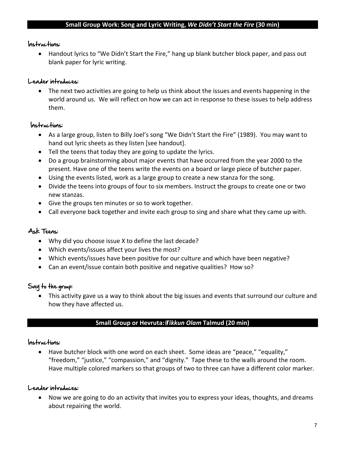#### Instructions:

 Handout lyrics to "We Didn't Start the Fire," hang up blank butcher block paper, and pass out blank paper for lyric writing.

#### Leader introduces:

 The next two activities are going to help us think about the issues and events happening in the world around us. We will reflect on how we can act in response to these issues to help address them.

#### Instructions:

- As a large group, listen to Billy Joel's song "We Didn't Start the Fire" (1989). You may want to hand out lyric sheets as they listen [see handout].
- Tell the teens that today they are going to update the lyrics.
- Do a group brainstorming about major events that have occurred from the year 2000 to the present. Have one of the teens write the events on a board or large piece of butcher paper.
- Using the events listed, work as a large group to create a new stanza for the song.
- Divide the teens into groups of four to six members. Instruct the groups to create one or two new stanzas.
- Give the groups ten minutes or so to work together.
- Call everyone back together and invite each group to sing and share what they came up with.

#### Ask Teens:

- Why did you choose issue X to define the last decade?
- Which events/issues affect your lives the most?
- Which events/issues have been positive for our culture and which have been negative?
- Can an event/issue contain both positive and negative qualities? How so?

#### Say to the group:

 This activity gave us a way to think about the big issues and events that surround our culture and how they have affected us.

#### **Small Group or Hevruta:***Tikkun Olam* **Talmud (20 min)**

#### Instructions:

• Have butcher block with one word on each sheet. Some ideas are "peace," "equality," "freedom," "justice," "compassion," and "dignity." Tape these to the walls around the room. Have multiple colored markers so that groups of two to three can have a different color marker.

#### Leader introduces:

 Now we are going to do an activity that invites you to express your ideas, thoughts, and dreams about repairing the world.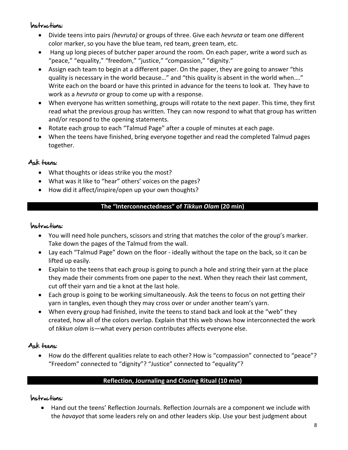#### Instructions:

- Divide teens into pairs *(hevruta)* or groups of three. Give each *hevruta* or team one different color marker, so you have the blue team, red team, green team, etc.
- Hang up long pieces of butcher paper around the room. On each paper, write a word such as "peace," "equality," "freedom," "justice," "compassion," "dignity."
- Assign each team to begin at a different paper. On the paper, they are going to answer "this quality is necessary in the world because…" and "this quality is absent in the world when…." Write each on the board or have this printed in advance for the teens to look at. They have to work as a *hevruta* or group to come up with a response.
- When everyone has written something, groups will rotate to the next paper. This time, they first read what the previous group has written. They can now respond to what that group has written and/or respond to the opening statements.
- Rotate each group to each "Talmud Page" after a couple of minutes at each page.
- When the teens have finished, bring everyone together and read the completed Talmud pages together.

#### Ask teens:

- What thoughts or ideas strike you the most?
- What was it like to "hear" others' voices on the pages?
- How did it affect/inspire/open up your own thoughts?

#### **The "Interconnectedness" of** *Tikkun Olam* **(20 min)**

#### Instructions:

- You will need hole punchers, scissors and string that matches the color of the group's marker. Take down the pages of the Talmud from the wall.
- Lay each "Talmud Page" down on the floor ideally without the tape on the back, so it can be lifted up easily.
- Explain to the teens that each group is going to punch a hole and string their yarn at the place they made their comments from one paper to the next. When they reach their last comment, cut off their yarn and tie a knot at the last hole.
- Each group is going to be working simultaneously. Ask the teens to focus on not getting their yarn in tangles, even though they may cross over or under another team's yarn.
- When every group had finished, invite the teens to stand back and look at the "web" they created, how all of the colors overlap. Explain that this web shows how interconnected the work of *tikkun olam* is—what every person contributes affects everyone else.

#### Ask teens:

 How do the different qualities relate to each other? How is "compassion" connected to "peace"? "Freedom" connected to "dignity"? "Justice" connected to "equality"?

#### **Reflection, Journaling and Closing Ritual (10 min)**

#### Instructions:

 Hand out the teens' Reflection Journals. Reflection Journals are a component we include with the *havayot* that some leaders rely on and other leaders skip. Use your best judgment about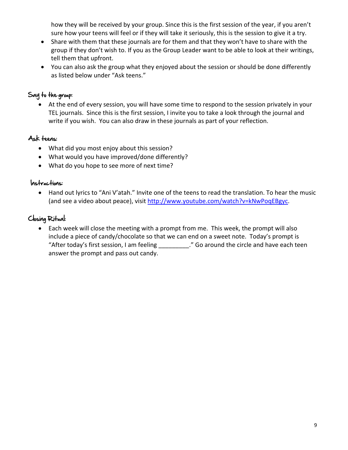how they will be received by your group. Since this is the first session of the year, if you aren't sure how your teens will feel or if they will take it seriously, this is the session to give it a try.

- Share with them that these journals are for them and that they won't have to share with the group if they don't wish to. If you as the Group Leader want to be able to look at their writings, tell them that upfront.
- You can also ask the group what they enjoyed about the session or should be done differently as listed below under "Ask teens."

#### Say to the group:

 At the end of every session, you will have some time to respond to the session privately in your TEL journals. Since this is the first session, I invite you to take a look through the journal and write if you wish. You can also draw in these journals as part of your reflection.

#### Ask teens:

- What did you most enjoy about this session?
- What would you have improved/done differently?
- What do you hope to see more of next time?

#### Instructions:

 Hand out lyrics to "Ani V'atah." Invite one of the teens to read the translation. To hear the music (and see a video about peace), visit http://www.youtube.com/watch?v=kNwPoqEBgyc.

#### Closing Ritual:

 Each week will close the meeting with a prompt from me. This week, the prompt will also include a piece of candy/chocolate so that we can end on a sweet note. Today's prompt is "After today's first session, I am feeling \_\_\_\_\_\_\_\_\_." Go around the circle and have each teen answer the prompt and pass out candy.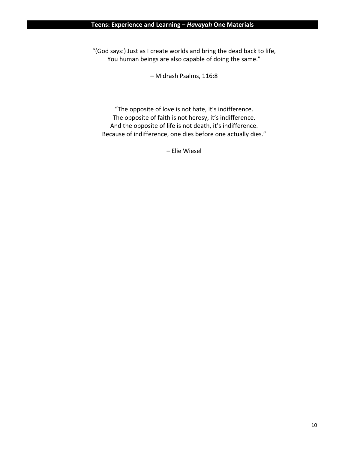#### **Teens: Experience and Learning –** *Havayah* **One Materials**

"(God says:) Just as I create worlds and bring the dead back to life, You human beings are also capable of doing the same."

– Midrash Psalms, 116:8

"The opposite of love is not hate, it's indifference. The opposite of faith is not heresy, it's indifference. And the opposite of life is not death, it's indifference. Because of indifference, one dies before one actually dies."

– Elie Wiesel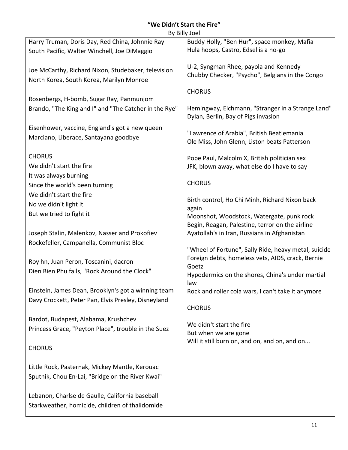#### **"We Didn't Start the Fire"**

| By Billy Joel                                                                                   |                                                                                              |  |
|-------------------------------------------------------------------------------------------------|----------------------------------------------------------------------------------------------|--|
| Harry Truman, Doris Day, Red China, Johnnie Ray                                                 | Buddy Holly, "Ben Hur", space monkey, Mafia                                                  |  |
| South Pacific, Walter Winchell, Joe DiMaggio                                                    | Hula hoops, Castro, Edsel is a no-go                                                         |  |
| Joe McCarthy, Richard Nixon, Studebaker, television<br>North Korea, South Korea, Marilyn Monroe | U-2, Syngman Rhee, payola and Kennedy<br>Chubby Checker, "Psycho", Belgians in the Congo     |  |
|                                                                                                 | <b>CHORUS</b>                                                                                |  |
| Rosenbergs, H-bomb, Sugar Ray, Panmunjom                                                        |                                                                                              |  |
| Brando, "The King and I" and "The Catcher in the Rye"                                           | Hemingway, Eichmann, "Stranger in a Strange Land"<br>Dylan, Berlin, Bay of Pigs invasion     |  |
| Eisenhower, vaccine, England's got a new queen                                                  |                                                                                              |  |
| Marciano, Liberace, Santayana goodbye                                                           | "Lawrence of Arabia", British Beatlemania<br>Ole Miss, John Glenn, Liston beats Patterson    |  |
| <b>CHORUS</b>                                                                                   | Pope Paul, Malcolm X, British politician sex                                                 |  |
| We didn't start the fire                                                                        | JFK, blown away, what else do I have to say                                                  |  |
| It was always burning                                                                           |                                                                                              |  |
| Since the world's been turning                                                                  | <b>CHORUS</b>                                                                                |  |
| We didn't start the fire                                                                        |                                                                                              |  |
| No we didn't light it                                                                           | Birth control, Ho Chi Minh, Richard Nixon back                                               |  |
| But we tried to fight it                                                                        | again                                                                                        |  |
|                                                                                                 | Moonshot, Woodstock, Watergate, punk rock<br>Begin, Reagan, Palestine, terror on the airline |  |
| Joseph Stalin, Malenkov, Nasser and Prokofiev                                                   | Ayatollah's in Iran, Russians in Afghanistan                                                 |  |
| Rockefeller, Campanella, Communist Bloc                                                         |                                                                                              |  |
|                                                                                                 | "Wheel of Fortune", Sally Ride, heavy metal, suicide                                         |  |
| Roy hn, Juan Peron, Toscanini, dacron                                                           | Foreign debts, homeless vets, AIDS, crack, Bernie                                            |  |
| Dien Bien Phu falls, "Rock Around the Clock"                                                    | Goetz                                                                                        |  |
|                                                                                                 | Hypodermics on the shores, China's under martial<br>law                                      |  |
| Einstein, James Dean, Brooklyn's got a winning team                                             | Rock and roller cola wars, I can't take it anymore                                           |  |
| Davy Crockett, Peter Pan, Elvis Presley, Disneyland                                             |                                                                                              |  |
|                                                                                                 | <b>CHORUS</b>                                                                                |  |
| Bardot, Budapest, Alabama, Krushchev                                                            |                                                                                              |  |
| Princess Grace, "Peyton Place", trouble in the Suez                                             | We didn't start the fire                                                                     |  |
|                                                                                                 | But when we are gone                                                                         |  |
| <b>CHORUS</b>                                                                                   | Will it still burn on, and on, and on, and on                                                |  |
|                                                                                                 |                                                                                              |  |
| Little Rock, Pasternak, Mickey Mantle, Kerouac                                                  |                                                                                              |  |
| Sputnik, Chou En-Lai, "Bridge on the River Kwai"                                                |                                                                                              |  |
|                                                                                                 |                                                                                              |  |
| Lebanon, Charlse de Gaulle, California baseball                                                 |                                                                                              |  |
| Starkweather, homicide, children of thalidomide                                                 |                                                                                              |  |
|                                                                                                 |                                                                                              |  |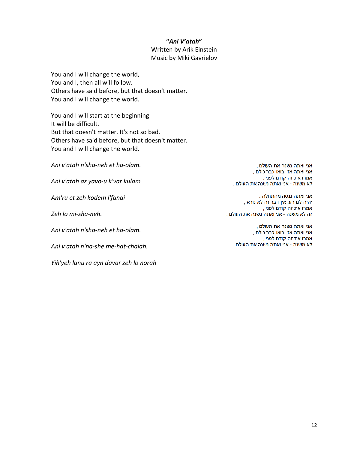#### **"***Ani V'atah***"**

Written by Arik Einstein Music by Miki Gavrielov

You and I will change the world, You and I, then all will follow. Others have said before, but that doesn't matter. You and I will change the world.

You and I will start at the beginning It will be difficult. But that doesn't matter. It's not so bad. Others have said before, but that doesn't matter. You and I will change the world.

*Ani v'atah n'sha‐neh et ha‐olam.* 

*Ani v'atah az yavo‐u k'var kulam* 

*Am'ru et zeh kodem l'fanai* 

*Zeh lo mi‐sha‐neh.* 

*Ani v'atah n'sha‐neh et ha‐olam.* 

*Ani v'atah n'na‐she me‐hat‐chalah.* 

*Yih'yeh lanu ra ayn davar zeh lo norah*

, אני ואתה נשנה את העולם , אני ואתה אז יבואו כבר כולם אמרו את זה קודם לפני, . לא משנה - אני ואתה נשנה את העולם

אני ואתה ננסה מהתחלה , יהיה לנו רע, אין דבר זה לא נורא , אמרו את זה קודם לפני, זה לא משנה - אני ואתה נשנה את העולם .

, אני ואתה נשנה את העולם , אני ואתה אז יבואו כבר כולם אמרו את זה קודם לפני , לא משנה - אני ואתה נשנה את העולם.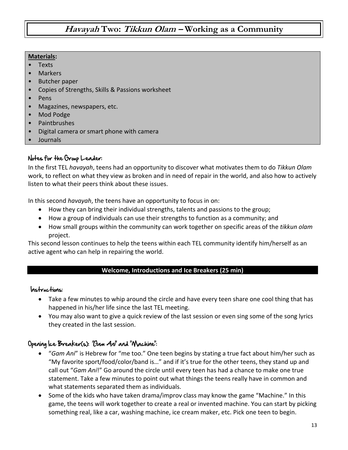# **Havayah Two: Tikkun Olam – Working as a Community**

#### **Materials:**

- Texts
- **Markers**
- Butcher paper
- Copies of Strengths, Skills & Passions worksheet
- Pens
- Magazines, newspapers, etc.
- Mod Podge
- Paintbrushes
- Digital camera or smart phone with camera
- Journals

#### Notes for the Group Leader:

In the first TEL *havayah*, teens had an opportunity to discover what motivates them to do *Tikkun Olam* work, to reflect on what they view as broken and in need of repair in the world, and also how to actively listen to what their peers think about these issues.

In this second *havayah*, the teens have an opportunity to focus in on:

- How they can bring their individual strengths, talents and passions to the group;
- How a group of individuals can use their strengths to function as a community; and
- How small groups within the community can work together on specific areas of the *tikkun olam* project.

This second lesson continues to help the teens within each TEL community identify him/herself as an active agent who can help in repairing the world.

#### **Welcome, Introductions and Ice Breakers (25 min)**

#### Instructions:

- Take a few minutes to whip around the circle and have every teen share one cool thing that has happened in his/her life since the last TEL meeting.
- You may also want to give a quick review of the last session or even sing some of the song lyrics they created in the last session.

#### Opening Ice Breaker(s): "Gam Ani" and "Machine":

- "*Gam Ani*" is Hebrew for "me too." One teen begins by stating a true fact about him/her such as "My favorite sport/food/color/band is…" and if it's true for the other teens, they stand up and call out "*Gam Ani*!" Go around the circle until every teen has had a chance to make one true statement. Take a few minutes to point out what things the teens really have in common and what statements separated them as individuals.
- Some of the kids who have taken drama/improv class may know the game "Machine." In this game, the teens will work together to create a real or invented machine. You can start by picking something real, like a car, washing machine, ice cream maker, etc. Pick one teen to begin.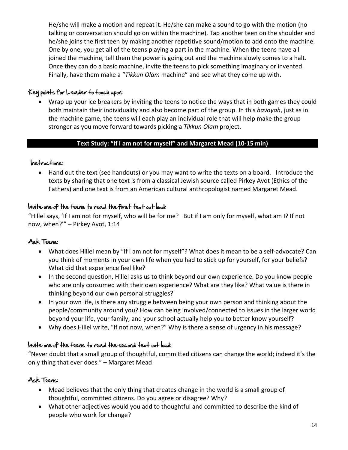He/she will make a motion and repeat it. He/she can make a sound to go with the motion (no talking or conversation should go on within the machine). Tap another teen on the shoulder and he/she joins the first teen by making another repetitive sound/motion to add onto the machine. One by one, you get all of the teens playing a part in the machine. When the teens have all joined the machine, tell them the power is going out and the machine slowly comes to a halt. Once they can do a basic machine, invite the teens to pick something imaginary or invented. Finally, have them make a "*Tikkun Olam* machine" and see what they come up with.

#### Key points for Leader to touch upon:

 Wrap up your ice breakers by inviting the teens to notice the ways that in both games they could both maintain their individuality and also become part of the group. In this *havayah*, just as in the machine game, the teens will each play an individual role that will help make the group stronger as you move forward towards picking a *Tikkun Olam* project.

#### **Text Study: "If I am not for myself" and Margaret Mead (10‐15 min)**

#### Instructions:

 Hand out the text (see handouts) or you may want to write the texts on a board. Introduce the texts by sharing that one text is from a classical Jewish source called Pirkey Avot (Ethics of the Fathers) and one text is from an American cultural anthropologist named Margaret Mead.

#### Invite one of the teens to read the first text out loud:

"Hillel says, 'If I am not for myself, who will be for me? But if I am only for myself, what am I? If not now, when?'" – Pirkey Avot, 1:14

#### Ask Teens:

- What does Hillel mean by "If I am not for myself"? What does it mean to be a self-advocate? Can you think of moments in your own life when you had to stick up for yourself, for your beliefs? What did that experience feel like?
- In the second question, Hillel asks us to think beyond our own experience. Do you know people who are only consumed with their own experience? What are they like? What value is there in thinking beyond our own personal struggles?
- In your own life, is there any struggle between being your own person and thinking about the people/community around you? How can being involved/connected to issues in the larger world beyond your life, your family, and your school actually help you to better know yourself?
- Why does Hillel write, "If not now, when?" Why is there a sense of urgency in his message?

#### Invite one of the teens to read the second text out loud:

"Never doubt that a small group of thoughtful, committed citizens can change the world; indeed it's the only thing that ever does." – Margaret Mead

#### Ask Teens:

- Mead believes that the only thing that creates change in the world is a small group of thoughtful, committed citizens. Do you agree or disagree? Why?
- What other adjectives would you add to thoughtful and committed to describe the kind of people who work for change?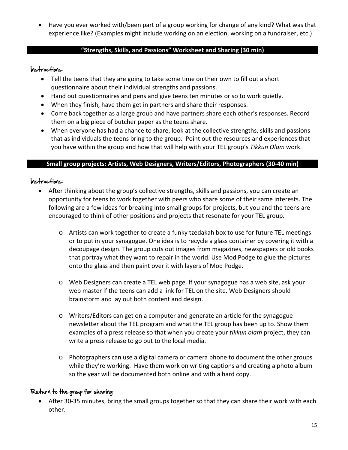Have you ever worked with/been part of a group working for change of any kind? What was that experience like? (Examples might include working on an election, working on a fundraiser, etc.)

#### **"Strengths, Skills, and Passions" Worksheet and Sharing (30 min)**

#### Instructions:

- Tell the teens that they are going to take some time on their own to fill out a short questionnaire about their individual strengths and passions.
- Hand out questionnaires and pens and give teens ten minutes or so to work quietly.
- When they finish, have them get in partners and share their responses.
- Come back together as a large group and have partners share each other's responses. Record them on a big piece of butcher paper as the teens share.
- When everyone has had a chance to share, look at the collective strengths, skills and passions that as individuals the teens bring to the group. Point out the resources and experiences that you have within the group and how that will help with your TEL group's *Tikkun Olam* work.

#### **Small group projects: Artists, Web Designers, Writers/Editors, Photographers (30‐40 min)**

#### Instructions:

- After thinking about the group's collective strengths, skills and passions, you can create an opportunity for teens to work together with peers who share some of their same interests. The following are a few ideas for breaking into small groups for projects, but you and the teens are encouraged to think of other positions and projects that resonate for your TEL group.
	- o Artists can work together to create a funky tzedakah box to use for future TEL meetings or to put in your synagogue. One idea is to recycle a glass container by covering it with a decoupage design. The group cuts out images from magazines, newspapers or old books that portray what they want to repair in the world. Use Mod Podge to glue the pictures onto the glass and then paint over it with layers of Mod Podge.
	- o Web Designers can create a TEL web page. If your synagogue has a web site, ask your web master if the teens can add a link for TEL on the site. Web Designers should brainstorm and lay out both content and design.
	- o Writers/Editors can get on a computer and generate an article for the synagogue newsletter about the TEL program and what the TEL group has been up to. Show them examples of a press release so that when you create your *tikkun olam* project, they can write a press release to go out to the local media.
	- o Photographers can use a digital camera or camera phone to document the other groups while they're working. Have them work on writing captions and creating a photo album so the year will be documented both online and with a hard copy.

#### Return to the group for sharing:

● After 30-35 minutes, bring the small groups together so that they can share their work with each other.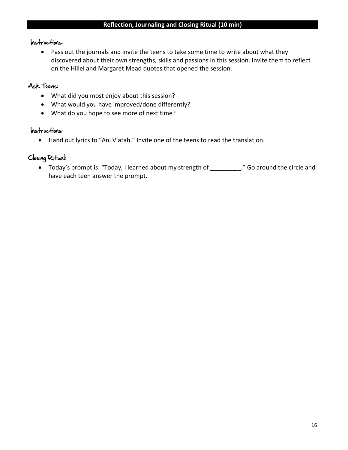#### **Reflection, Journaling and Closing Ritual (10 min)**

#### Instructions:

 Pass out the journals and invite the teens to take some time to write about what they discovered about their own strengths, skills and passions in this session. Invite them to reflect on the Hillel and Margaret Mead quotes that opened the session.

#### Ask Teens:

- What did you most enjoy about this session?
- What would you have improved/done differently?
- What do you hope to see more of next time?

#### Instructions:

Hand out lyrics to "Ani V'atah." Invite one of the teens to read the translation.

#### Closing Ritual:

• Today's prompt is: "Today, I learned about my strength of \_\_\_\_\_\_\_\_\_." Go around the circle and have each teen answer the prompt.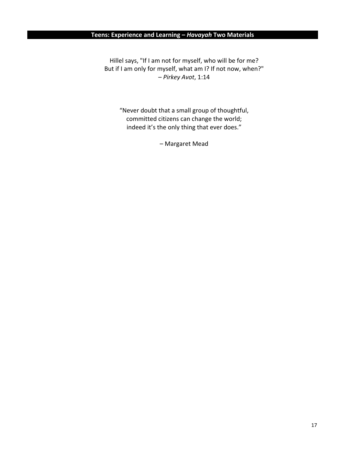#### **Teens: Experience and Learning –** *Havayah* **Two Materials**

Hillel says, "If I am not for myself, who will be for me? But if I am only for myself, what am I? If not now, when?" – *Pirkey Avot*, 1:14

"Never doubt that a small group of thoughtful, committed citizens can change the world; indeed it's the only thing that ever does."

– Margaret Mead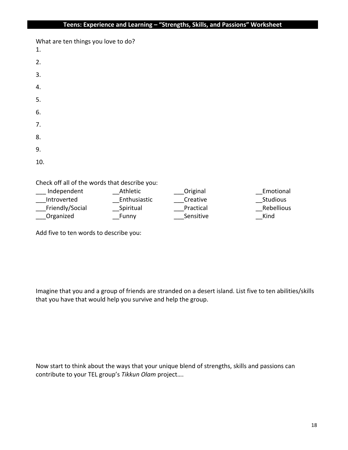#### **Teens: Experience and Learning – "Strengths, Skills, and Passions" Worksheet**

| What are ten things you love to do?<br>1. |
|-------------------------------------------|
| $\overline{2}$ .                          |
| 3.                                        |
| 4.                                        |
| 5.                                        |
| 6.                                        |
| 7.                                        |
| 8.                                        |
| 9.                                        |
| 10.                                       |
|                                           |

Check off all of the words that describe you:

| Independent     | Athletic     | Original  | Emotional       |
|-----------------|--------------|-----------|-----------------|
| Introverted     | Enthusiastic | Creative  | <b>Studious</b> |
| Friendly/Social | Spiritual    | Practical | Rebellious      |
| Organized       | Funny        | Sensitive | Kind            |

Add five to ten words to describe you:

Imagine that you and a group of friends are stranded on a desert island. List five to ten abilities/skills that you have that would help you survive and help the group.

Now start to think about the ways that your unique blend of strengths, skills and passions can contribute to your TEL group's *Tikkun Olam* project….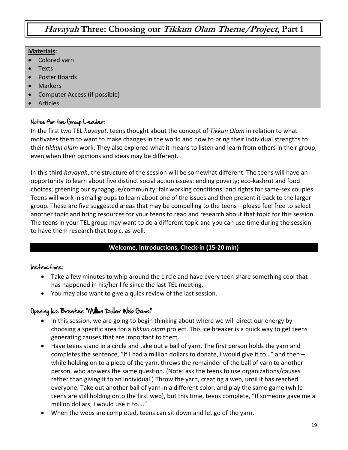# **Havayah Three: Choosing our Tikkun Olam Theme/Project, Part 1**

#### **Materials:**

- Colored yarn
- Texts
- Poster Boards
- Markers
- Computer Access (if possible)
- Articles

#### Notes for the Group Leader:

In the first two TEL *havayot*, teens thought about the concept of *Tikkun Olam* in relation to what motivates them to want to make changes in the world and how to bring their individual strengths to their *tikkun olam* work. They also explored what it means to listen and learn from others in their group, even when their opinions and ideas may be different.

In this third *havayah*, the structure of the session will be somewhat different. The teens will have an opportunity to learn about five distinct social action issues: ending poverty; eco‐kashrut and food choices; greening our synagogue/community; fair working conditions; and rights for same‐sex couples. Teens will work in small groups to learn about one of the issues and then present it back to the larger group. These are five suggested areas that may be compelling to the teens—please feel free to select another topic and bring resources for your teens to read and research about that topic for this session. The teens in your TEL group may want to do a different topic and you can use time during the session to have them research that topic, as well.

#### **Welcome, Introductions, Check‐in (15‐20 min)**

#### Instructions:

- Take a few minutes to whip around the circle and have every teen share something cool that has happened in his/her life since the last TEL meeting.
- You may also want to give a quick review of the last session.

#### Opening Ice Breaker: "Million Dollar Web Game"

- In this session, we are going to begin thinking about where we will direct our energy by choosing a specific area for a *tikkun olam* project. This ice breaker is a quick way to get teens generating causes that are important to them.
- Have teens stand in a circle and take out a ball of yarn. The first person holds the yarn and completes the sentence, "If I had a million dollars to donate, I would give it to..." and then  $$ while holding on to a piece of the yarn, throws the remainder of the ball of yarn to another person, who answers the same question. (Note: ask the teens to use organizations/causes rather than giving it to an individual.) Throw the yarn, creating a web, until it has reached everyone. Take out another ball of yarn in a different color, and play the same game (while teens are still holding onto the first web), but this time, teens complete, "If someone gave me a million dollars, I would use it to…."
- When the webs are completed, teens can sit down and let go of the yarn.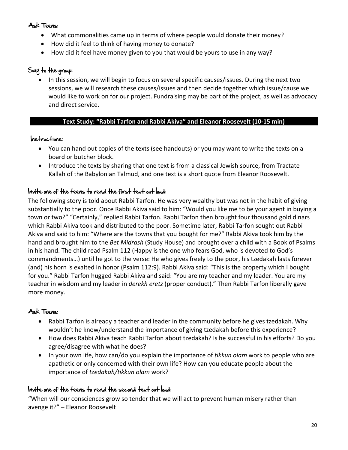#### Ask Teens:

- What commonalities came up in terms of where people would donate their money?
- How did it feel to think of having money to donate?
- How did it feel have money given to you that would be yours to use in any way?

#### Say to the group:

 In this session, we will begin to focus on several specific causes/issues. During the next two sessions, we will research these causes/issues and then decide together which issue/cause we would like to work on for our project. Fundraising may be part of the project, as well as advocacy and direct service.

#### **Text Study: "Rabbi Tarfon and Rabbi Akiva" and Eleanor Roosevelt (10‐15 min)**

#### Instructions:

- You can hand out copies of the texts (see handouts) or you may want to write the texts on a board or butcher block.
- Introduce the texts by sharing that one text is from a classical Jewish source, from Tractate Kallah of the Babylonian Talmud, and one text is a short quote from Eleanor Roosevelt.

#### Invite one of the teens to read the first text out loud:

The following story is told about Rabbi Tarfon. He was very wealthy but was not in the habit of giving substantially to the poor. Once Rabbi Akiva said to him: "Would you like me to be your agent in buying a town or two?" "Certainly," replied Rabbi Tarfon. Rabbi Tarfon then brought four thousand gold dinars which Rabbi Akiva took and distributed to the poor. Sometime later, Rabbi Tarfon sought out Rabbi Akiva and said to him: "Where are the towns that you bought for me?" Rabbi Akiva took him by the hand and brought him to the *Bet Midrash* (Study House) and brought over a child with a Book of Psalms in his hand. The child read Psalm 112 (Happy is the one who fears God, who is devoted to God's commandments…) until he got to the verse: He who gives freely to the poor, his tzedakah lasts forever (and) his horn is exalted in honor (Psalm 112:9). Rabbi Akiva said: "This is the property which I bought for you." Rabbi Tarfon hugged Rabbi Akiva and said: "You are my teacher and my leader. You are my teacher in wisdom and my leader in *derekh eretz* (proper conduct)." Then Rabbi Tarfon liberally gave more money.

#### Ask Teens:

- Rabbi Tarfon is already a teacher and leader in the community before he gives tzedakah. Why wouldn't he know/understand the importance of giving tzedakah before this experience?
- How does Rabbi Akiva teach Rabbi Tarfon about tzedakah? Is he successful in his efforts? Do you agree/disagree with what he does?
- In your own life, how can/do you explain the importance of *tikkun olam* work to people who are apathetic or only concerned with their own life? How can you educate people about the importance of *tzedakah/tikkun olam* work?

#### Invite one of the teens to read the second text out loud:

"When will our consciences grow so tender that we will act to prevent human misery rather than avenge it?" – Eleanor Roosevelt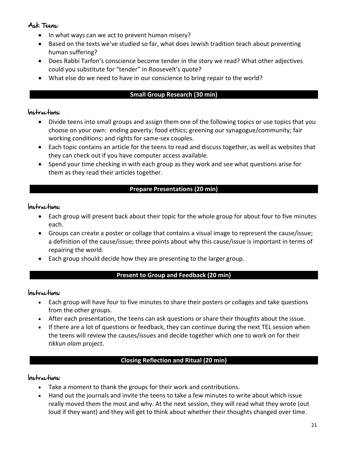#### Ask Teens:

- In what ways can we act to prevent human misery?
- Based on the texts we've studied so far, what does Jewish tradition teach about preventing human suffering?
- Does Rabbi Tarfon's conscience become tender in the story we read? What other adjectives could you substitute for "tender" in Roosevelt's quote?
- What else do we need to have in our conscience to bring repair to the world?

#### **Small Group Research (30 min)**

#### Instructions:

- Divide teens into small groups and assign them one of the following topics or use topics that you choose on your own: ending poverty; food ethics; greening our synagogue/community; fair working conditions; and rights for same‐sex couples.
- Each topic contains an article for the teens to read and discuss together, as well as websites that they can check out if you have computer access available.
- Spend your time checking in with each group as they work and see what questions arise for them as they read their articles together.

#### **Prepare Presentations (20 min)**

#### Instructions:

- Each group will present back about their topic for the whole group for about four to five minutes each.
- Groups can create a poster or collage that contains a visual image to represent the cause/issue; a definition of the cause/issue; three points about why this cause/issue is important in terms of repairing the world.
- Each group should decide how they are presenting to the larger group.

#### **Present to Group and Feedback (20 min)**

#### Instructions:

- Each group will have four to five minutes to share their posters or collages and take questions from the other groups.
- After each presentation, the teens can ask questions or share their thoughts about the issue.
- If there are a lot of questions or feedback, they can continue during the next TEL session when the teens will review the causes/issues and decide together which one to work on for their *tikkun olam* project.

#### **Closing Reflection and Ritual (20 min)**

#### Instructions:

- Take a moment to thank the groups for their work and contributions.
- Hand out the journals and invite the teens to take a few minutes to write about which issue really moved them the most and why. At the next session, they will read what they wrote (out loud if they want) and they will get to think about whether their thoughts changed over time.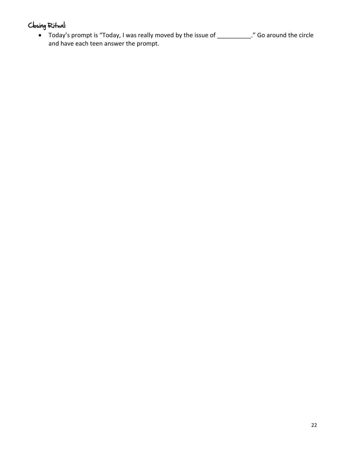# Closing Ritual:

• Today's prompt is "Today, I was really moved by the issue of \_\_\_\_\_\_\_\_\_\_." Go around the circle and have each teen answer the prompt.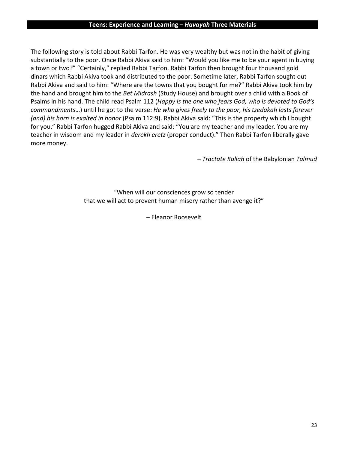#### **Teens: Experience and Learning –** *Havayah* **Three Materials**

The following story is told about Rabbi Tarfon. He was very wealthy but was not in the habit of giving substantially to the poor. Once Rabbi Akiva said to him: "Would you like me to be your agent in buying a town or two?" "Certainly," replied Rabbi Tarfon. Rabbi Tarfon then brought four thousand gold dinars which Rabbi Akiva took and distributed to the poor. Sometime later, Rabbi Tarfon sought out Rabbi Akiva and said to him: "Where are the towns that you bought for me?" Rabbi Akiva took him by the hand and brought him to the *Bet Midrash* (Study House) and brought over a child with a Book of Psalms in his hand. The child read Psalm 112 (*Happy is the one who fears God, who is devoted to God's commandments*…) until he got to the verse: *He who gives freely to the poor, his tzedakah lasts forever (and) his horn is exalted in honor* (Psalm 112:9). Rabbi Akiva said: "This is the property which I bought for you." Rabbi Tarfon hugged Rabbi Akiva and said: "You are my teacher and my leader. You are my teacher in wisdom and my leader in *derekh eretz* (proper conduct)." Then Rabbi Tarfon liberally gave more money.

– *Tractate Kallah* of the Babylonian *Talmud*

"When will our consciences grow so tender that we will act to prevent human misery rather than avenge it?"

– Eleanor Roosevelt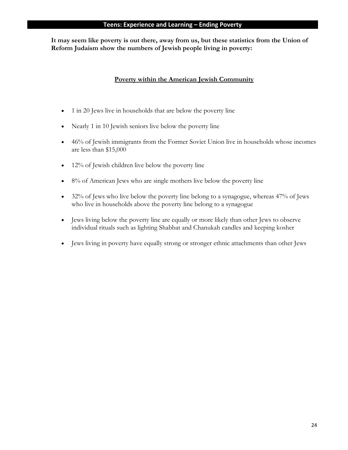**It may seem like poverty is out there, away from us, but these statistics from the Union of Reform Judaism show the numbers of Jewish people living in poverty:** 

#### **Poverty within the American Jewish Community**

- 1 in 20 Jews live in households that are below the poverty line
- Nearly 1 in 10 Jewish seniors live below the poverty line
- 46% of Jewish immigrants from the Former Soviet Union live in households whose incomes are less than \$15,000
- 12% of Jewish children live below the poverty line
- 8% of American Jews who are single mothers live below the poverty line
- 32% of Jews who live below the poverty line belong to a synagogue, whereas 47% of Jews who live in households above the poverty line belong to a synagogue
- Jews living below the poverty line are equally or more likely than other Jews to observe individual rituals such as lighting Shabbat and Chanukah candles and keeping kosher
- Jews living in poverty have equally strong or stronger ethnic attachments than other Jews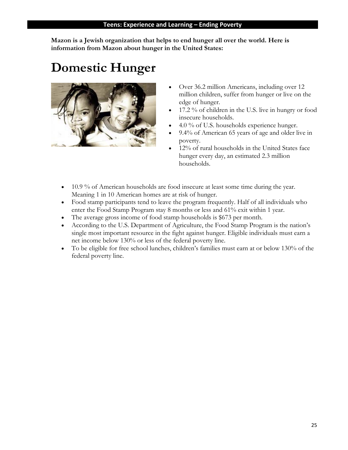**Mazon is a Jewish organization that helps to end hunger all over the world. Here is information from Mazon about hunger in the United States:** 

# **Domestic Hunger**



- Over 36.2 million Americans, including over 12 million children, suffer from hunger or live on the edge of hunger.
- 17.2 % of children in the U.S. live in hungry or food insecure households.
- 4.0 % of U.S. households experience hunger.
- 9.4% of American 65 years of age and older live in poverty.
- 12% of rural households in the United States face hunger every day, an estimated 2.3 million households.
- 10.9 % of American households are food insecure at least some time during the year. Meaning 1 in 10 American homes are at risk of hunger.
- Food stamp participants tend to leave the program frequently. Half of all individuals who enter the Food Stamp Program stay 8 months or less and 61% exit within 1 year.
- The average gross income of food stamp households is \$673 per month.
- According to the U.S. Department of Agriculture, the Food Stamp Program is the nation's single most important resource in the fight against hunger. Eligible individuals must earn a net income below 130% or less of the federal poverty line.
- To be eligible for free school lunches, children's families must earn at or below 130% of the federal poverty line.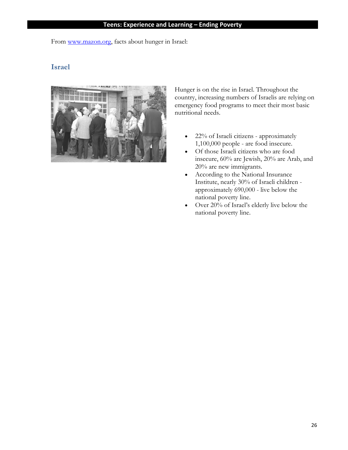From www.mazon.org, facts about hunger in Israel:

#### **Israel**



Hunger is on the rise in Israel. Throughout the country, increasing numbers of Israelis are relying on emergency food programs to meet their most basic nutritional needs.

- 22% of Israeli citizens approximately 1,100,000 people - are food insecure.
- Of those Israeli citizens who are food insecure, 60% are Jewish, 20% are Arab, and 20% are new immigrants.
- According to the National Insurance Institute, nearly 30% of Israeli children approximately 690,000 - live below the national poverty line.
- Over 20% of Israel's elderly live below the national poverty line.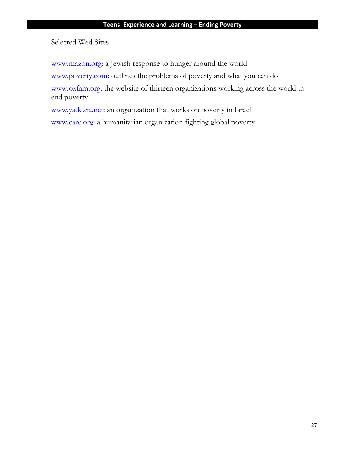Selected Wed Sites

www.mazon.org: a Jewish response to hunger around the world www.poverty.com: outlines the problems of poverty and what you can do www.oxfam.org: the website of thirteen organizations working across the world to end poverty

www.yadezra.net: an organization that works on poverty in Israel

www.care.org: a humanitarian organization fighting global poverty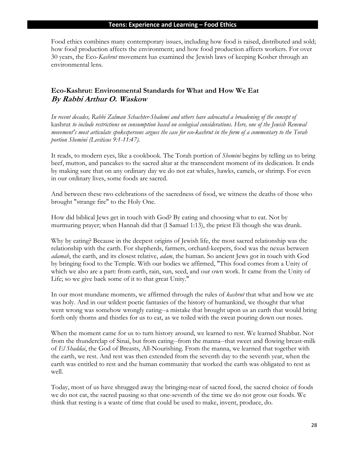#### **Teens: Experience and Learning – Food Ethics**

Food ethics combines many contemporary issues, including how food is raised, distributed and sold; how food production affects the environment; and how food production affects workers. For over 30 years, the Eco-*Kashrut* movement has examined the Jewish laws of keeping Kosher through an environmental lens.

#### **Eco-Kashrut: Environmental Standards for What and How We Eat By Rabbi Arthur O. Waskow**

*In recent decades, Rabbi Zalman Schachter-Shalomi and others have advocated a broadening of the concept of*  kashrut *to include restrictions on consumption based on ecological considerations. Here, one of the Jewish Renewal movement's most articulate spokespersons argues the case for eco-kashrut in the form of a commentary to the Torah portion Shemini (Leviticus 9:1-11:47).*

It reads, to modern eyes, like a cookbook. The Torah portion of *Shemini* begins by telling us to bring beef, mutton, and pancakes to the sacred altar at the transcendent moment of its dedication. It ends by making sure that on any ordinary day we do not eat whales, hawks, camels, or shrimp. For even in our ordinary lives, some foods are sacred.

And between these two celebrations of the sacredness of food, we witness the deaths of those who brought "strange fire" to the Holy One.

How did biblical Jews get in touch with God? By eating and choosing what to eat. Not by murmuring prayer; when Hannah did that (I Samuel 1:13), the priest Eli though she was drunk.

Why by eating? Because in the deepest origins of Jewish life, the most sacred relationship was the relationship with the earth. For shepherds, farmers, orchard-keepers, food was the nexus between *adamah*, the earth, and its closest relative, *adam*, the human. So ancient Jews got in touch with God by bringing food to the Temple. With our bodies we affirmed, "This food comes from a Unity of which we also are a part: from earth, rain, sun, seed, and our own work. It came from the Unity of Life; so we give back some of it to that great Unity."

In our most mundane moments, we affirmed through the rules of *kashrut* that what and how we ate was holy. And in our wildest poetic fantasies of the history of humankind, we thought that what went wrong was somehow wrongly eating--a mistake that brought upon us an earth that would bring forth only thorns and thistles for us to eat, as we toiled with the sweat pouring down our noses.

When the moment came for us to turn history around, we learned to rest. We learned Shabbat. Not from the thunderclap of Sinai, but from eating--from the manna--that sweet and flowing breast-milk of *El Shaddai*, the God of Breasts, All-Nourishing. From the manna, we learned that together with the earth, we rest. And rest was then extended from the seventh day to the seventh year, when the earth was entitled to rest and the human community that worked the earth was obligated to rest as well.

Today, most of us have shrugged away the bringing-near of sacred food, the sacred choice of foods we do not eat, the sacred pausing so that one-seventh of the time we do not grow our foods. We think that resting is a waste of time that could be used to make, invent, produce, do.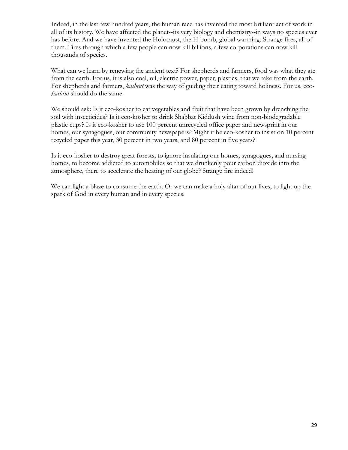Indeed, in the last few hundred years, the human race has invented the most brilliant act of work in all of its history. We have affected the planet--its very biology and chemistry--in ways no species ever has before. And we have invented the Holocaust, the H-bomb, global warming. Strange fires, all of them. Fires through which a few people can now kill billions, a few corporations can now kill thousands of species.

What can we learn by renewing the ancient text? For shepherds and farmers, food was what they ate from the earth. For us, it is also coal, oil, electric power, paper, plastics, that we take from the earth. For shepherds and farmers, *kashrut* was the way of guiding their eating toward holiness. For us, eco*kashrut* should do the same.

We should ask: Is it eco-kosher to eat vegetables and fruit that have been grown by drenching the soil with insecticides? Is it eco-kosher to drink Shabbat Kiddush wine from non-biodegradable plastic cups? Is it eco-kosher to use 100 percent unrecycled office paper and newsprint in our homes, our synagogues, our community newspapers? Might it be eco-kosher to insist on 10 percent recycled paper this year, 30 percent in two years, and 80 percent in five years?

Is it eco-kosher to destroy great forests, to ignore insulating our homes, synagogues, and nursing homes, to become addicted to automobiles so that we drunkenly pour carbon dioxide into the atmosphere, there to accelerate the heating of our globe? Strange fire indeed!

We can light a blaze to consume the earth. Or we can make a holy altar of our lives, to light up the spark of God in every human and in every species.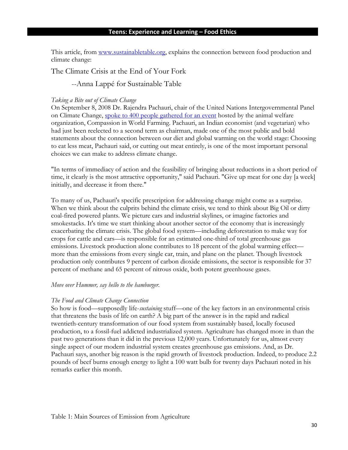This article, from www.sustainabletable.org, explains the connection between food production and climate change:

The Climate Crisis at the End of Your Fork

### --Anna Lappé for Sustainable Table

#### *Taking a Bite out of Climate Change*

On September 8, 2008 Dr. Rajendra Pachauri, chair of the United Nations Intergovernmental Panel on Climate Change, spoke to 400 people gathered for an event hosted by the animal welfare organization, Compassion in World Farming. Pachauri, an Indian economist (and vegetarian) who had just been reelected to a second term as chairman, made one of the most public and bold statements about the connection between our diet and global warming on the world stage: Choosing to eat less meat, Pachauri said, or cutting out meat entirely, is one of the most important personal choices we can make to address climate change.

"In terms of immediacy of action and the feasibility of bringing about reductions in a short period of time, it clearly is the most attractive opportunity," said Pachauri. "Give up meat for one day [a week] initially, and decrease it from there."

To many of us, Pachauri's specific prescription for addressing change might come as a surprise. When we think about the culprits behind the climate crisis, we tend to think about Big Oil or dirty coal-fired powered plants. We picture cars and industrial skylines, or imagine factories and smokestacks. It's time we start thinking about another sector of the economy that is increasingly exacerbating the climate crisis. The global food system—including deforestation to make way for crops for cattle and cars—is responsible for an estimated one-third of total greenhouse gas emissions. Livestock production alone contributes to 18 percent of the global warming effect more than the emissions from every single car, train, and plane on the planet. Though livestock production only contributes 9 percent of carbon dioxide emissions, the sector is responsible for 37 percent of methane and 65 percent of nitrous oxide, both potent greenhouse gases.

#### *Move over Hummer, say hello to the hamburger.*

#### *The Food and Climate Change Connection*

So how is food—supposedly life-*sustaining* stuff—one of the key factors in an environmental crisis that threatens the basis of life on earth? A big part of the answer is in the rapid and radical twentieth-century transformation of our food system from sustainably based, locally focused production, to a fossil-fuel addicted industrialized system. Agriculture has changed more in than the past two generations than it did in the previous 12,000 years. Unfortunately for us, almost every single aspect of our modern industrial system creates greenhouse gas emissions. And, as Dr. Pachauri says, another big reason is the rapid growth of livestock production. Indeed, to produce 2.2 pounds of beef burns enough energy to light a 100 watt bulb for twenty days Pachauri noted in his remarks earlier this month.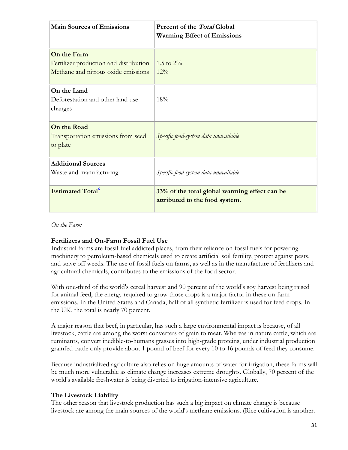| <b>Main Sources of Emissions</b>                                                             | Percent of the Total Global<br><b>Warming Effect of Emissions</b>               |
|----------------------------------------------------------------------------------------------|---------------------------------------------------------------------------------|
| On the Farm<br>Fertilizer production and distribution<br>Methane and nitrous oxide emissions | 1.5 to $2\%$<br>$12\%$                                                          |
| On the Land<br>Deforestation and other land use<br>changes                                   | 18%                                                                             |
| On the Road<br>Transportation emissions from seed<br>to plate                                | Specific food-system data unavailable                                           |
| <b>Additional Sources</b><br>Waste and manufacturing                                         | Specific food-system data unavailable                                           |
| Estimated Total <sup>6</sup>                                                                 | 33% of the total global warming effect can be<br>attributed to the food system. |

*On the Farm* 

#### **Fertilizers and On-Farm Fossil Fuel Use**

Industrial farms are fossil-fuel addicted places, from their reliance on fossil fuels for powering machinery to petroleum-based chemicals used to create artificial soil fertility, protect against pests, and stave off weeds. The use of fossil fuels on farms, as well as in the manufacture of fertilizers and agricultural chemicals, contributes to the emissions of the food sector.

With one-third of the world's cereal harvest and 90 percent of the world's soy harvest being raised for animal feed, the energy required to grow those crops is a major factor in these on-farm emissions. In the United States and Canada, half of all synthetic fertilizer is used for feed crops. In the UK, the total is nearly 70 percent.

A major reason that beef, in particular, has such a large environmental impact is because, of all livestock, cattle are among the worst converters of grain to meat. Whereas in nature cattle, which are ruminants, convert inedible-to-humans grasses into high-grade proteins, under industrial production grainfed cattle only provide about 1 pound of beef for every 10 to 16 pounds of feed they consume.

Because industrialized agriculture also relies on huge amounts of water for irrigation, these farms will be much more vulnerable as climate change increases extreme droughts. Globally, 70 percent of the world's available freshwater is being diverted to irrigation-intensive agriculture.

#### **The Livestock Liability**

The other reason that livestock production has such a big impact on climate change is because livestock are among the main sources of the world's methane emissions. (Rice cultivation is another.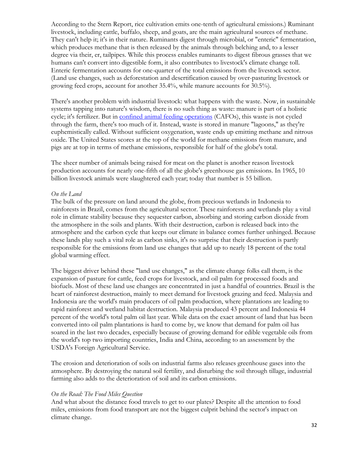According to the Stern Report, rice cultivation emits one-tenth of agricultural emissions.) Ruminant livestock, including cattle, buffalo, sheep, and goats, are the main agricultural sources of methane. They can't help it; it's in their nature. Ruminants digest through microbial, or "enteric" fermentation, which produces methane that is then released by the animals through belching and, to a lesser degree via their, er, tailpipes. While this process enables ruminants to digest fibrous grasses that we humans can't convert into digestible form, it also contributes to livestock's climate change toll. Enteric fermentation accounts for one-quarter of the total emissions from the livestock sector. (Land use changes, such as deforestation and desertification caused by over-pasturing livestock or growing feed crops, account for another 35.4%, while manure accounts for 30.5%).

There's another problem with industrial livestock: what happens with the waste. Now, in sustainable systems tapping into nature's wisdom, there is no such thing as waste: manure is part of a holistic cycle; it's fertilizer. But in confined animal feeding operations (CAFOs), this waste is not cycled through the farm, there's too much of it. Instead, waste is stored in manure "lagoons," as they're euphemistically called. Without sufficient oxygenation, waste ends up emitting methane and nitrous oxide. The United States scores at the top of the world for methane emissions from manure, and pigs are at top in terms of methane emissions, responsible for half of the globe's total.

The sheer number of animals being raised for meat on the planet is another reason livestock production accounts for nearly one-fifth of all the globe's greenhouse gas emissions. In 1965, 10 billion livestock animals were slaughtered each year; today that number is 55 billion.

#### *On the Land*

The bulk of the pressure on land around the globe, from precious wetlands in Indonesia to rainforests in Brazil, comes from the agricultural sector. These rainforests and wetlands play a vital role in climate stability because they sequester carbon, absorbing and storing carbon dioxide from the atmosphere in the soils and plants. With their destruction, carbon is released back into the atmosphere and the carbon cycle that keeps our climate in balance comes further unhinged. Because these lands play such a vital role as carbon sinks, it's no surprise that their destruction is partly responsible for the emissions from land use changes that add up to nearly 18 percent of the total global warming effect.

The biggest driver behind these "land use changes," as the climate change folks call them, is the expansion of pasture for cattle, feed crops for livestock, and oil palm for processed foods and biofuels. Most of these land use changes are concentrated in just a handful of countries. Brazil is the heart of rainforest destruction, mainly to meet demand for livestock grazing and feed. Malaysia and Indonesia are the world's main producers of oil palm production, where plantations are leading to rapid rainforest and wetland habitat destruction. Malaysia produced 43 percent and Indonesia 44 percent of the world's total palm oil last year. While data on the exact amount of land that has been converted into oil palm plantations is hard to come by, we know that demand for palm oil has soared in the last two decades, especially because of growing demand for edible vegetable oils from the world's top two importing countries, India and China, according to an assessment by the USDA's Foreign Agricultural Service.

The erosion and deterioration of soils on industrial farms also releases greenhouse gases into the atmosphere. By destroying the natural soil fertility, and disturbing the soil through tillage, industrial farming also adds to the deterioration of soil and its carbon emissions.

#### *On the Road: The Food Miles Question*

And what about the distance food travels to get to our plates? Despite all the attention to food miles, emissions from food transport are not the biggest culprit behind the sector's impact on climate change.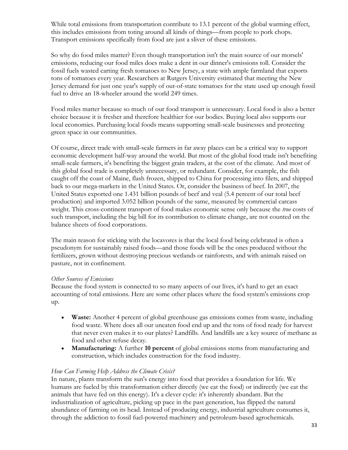While total emissions from transportation contribute to 13.1 percent of the global warming effect, this includes emissions from toting around all kinds of things—from people to pork chops. Transport emissions specifically from food are just a sliver of these emissions.

So why do food miles matter? Even though transportation isn't the main source of our morsels' emissions, reducing our food miles does make a dent in our dinner's emissions toll. Consider the fossil fuels wasted carting fresh tomatoes to New Jersey, a state with ample farmland that exports tons of tomatoes every year. Researchers at Rutgers University estimated that meeting the New Jersey demand for just one year's supply of out-of-state tomatoes for the state used up enough fossil fuel to drive an 18-wheeler around the world 249 times.

Food miles matter because so much of our food transport is unnecessary. Local food is also a better choice because it is fresher and therefore healthier for our bodies. Buying local also supports our local economies. Purchasing local foods means supporting small-scale businesses and protecting green space in our communities.

Of course, direct trade with small-scale farmers in far away places can be a critical way to support economic development half-way around the world. But most of the global food trade isn't benefiting small-scale farmers, it's benefiting the biggest grain traders, at the cost of the climate. And most of this global food trade is completely unnecessary, or redundant. Consider, for example, the fish caught off the coast of Maine, flash frozen, shipped to China for processing into filets, and shipped back to our mega-markets in the United States. Or, consider the business of beef. In 2007, the United States exported one 1.431 billion pounds of beef and veal (5.4 percent of our total beef production) and imported 3.052 billion pounds of the same, measured by commercial carcass weight. This cross-continent transport of food makes economic sense only because the *true* costs of such transport, including the big bill for its contribution to climate change, are not counted on the balance sheets of food corporations.

The main reason for sticking with the locavores is that the local food being celebrated is often a pseudonym for sustainably raised foods—and those foods will be the ones produced without the fertilizers, grown without destroying precious wetlands or rainforests, and with animals raised on pasture, not in confinement.

#### *Other Sources of Emissions*

Because the food system is connected to so many aspects of our lives, it's hard to get an exact accounting of total emissions. Here are some other places where the food system's emissions crop up.

- **Waste:** Another 4 percent of global greenhouse gas emissions comes from waste, including food waste. Where does all our uneaten food end up and the tons of food ready for harvest that never even makes it to our plates? Landfills. And landfills are a key source of methane as food and other refuse decay.
- **Manufacturing:** A further **10 percent** of global emissions stems from manufacturing and construction, which includes construction for the food industry.

#### *How Can Farming Help Address the Climate Crisis?*

In nature, plants transform the sun's energy into food that provides a foundation for life. We humans are fueled by this transformation either directly (we eat the food) or indirectly (we eat the animals that have fed on this energy). It's a clever cycle: it's inherently abundant. But the industrialization of agriculture, picking up pace in the past generation, has flipped the natural abundance of farming on its head. Instead of producing energy, industrial agriculture consumes it, through the addiction to fossil fuel-powered machinery and petroleum-based agrochemicals.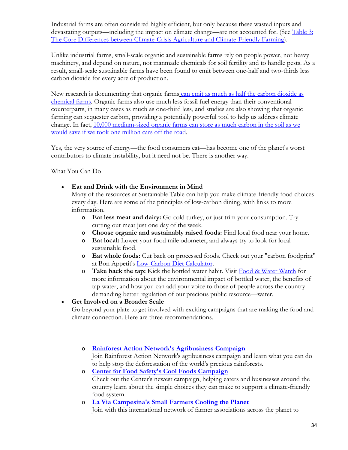Industrial farms are often considered highly efficient, but only because these wasted inputs and devastating outputs—including the impact on climate change—are not accounted for. (See Table 3: The Core Differences between Climate-Crisis Agriculture and Climate-Friendly Farming).

Unlike industrial farms, small-scale organic and sustainable farms rely on people power, not heavy machinery, and depend on nature, not manmade chemicals for soil fertility and to handle pests. As a result, small-scale sustainable farms have been found to emit between one-half and two-thirds less carbon dioxide for every acre of production.

New research is documenting that organic farms can emit as much as half the carbon dioxide as chemical farms. Organic farms also use much less fossil fuel energy than their conventional counterparts, in many cases as much as one-third less, and studies are also showing that organic farming can sequester carbon, providing a potentially powerful tool to help us address climate change. In fact, 10,000 medium-sized organic farms can store as much carbon in the soil as we would save if we took one million cars off the road.

Yes, the very source of energy—the food consumers eat—has become one of the planet's worst contributors to climate instability, but it need not be. There is another way.

What You Can Do

**Eat and Drink with the Environment in Mind**

Many of the resources at Sustainable Table can help you make climate-friendly food choices every day. Here are some of the principles of low-carbon dining, with links to more information.

- o **Eat less meat and dairy:** Go cold turkey, or just trim your consumption. Try cutting out meat just one day of the week.
- o **Choose organic and sustainably raised foods:** Find local food near your home.
- o **Eat local:** Lower your food mile odometer, and always try to look for local sustainable food.
- o **Eat whole foods:** Cut back on processed foods. Check out your "carbon foodprint" at Bon Appetit's Low-Carbon Diet Calculator.
- o **Take back the tap:** Kick the bottled water habit. Visit Food & Water Watch for more information about the environmental impact of bottled water, the benefits of tap water, and how you can add your voice to those of people across the country demanding better regulation of our precious public resource—water.

**Get Involved on a Broader Scale**

Go beyond your plate to get involved with exciting campaigns that are making the food and climate connection. Here are three recommendations.

- o **Rainforest Action Network's Agribusiness Campaign** Join Rainforest Action Network's agribusiness campaign and learn what you can do to help stop the deforestation of the world's precious rainforests.
- o **Center for Food Safety's Cool Foods Campaign** Check out the Center's newest campaign, helping eaters and businesses around the country learn about the simple choices they can make to support a climate-friendly food system.
- o **La Via Campesina's Small Farmers Cooling the Planet**

Join with this international network of farmer associations across the planet to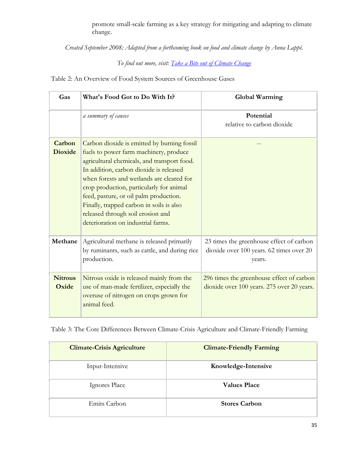promote small-scale farming as a key strategy for mitigating and adapting to climate change.

*Created September 2008; Adapted from a forthcoming book on food and climate change by Anna Lappé.* 

*To find out more, visit: Take a Bite out of Climate Change*

Table 2: An Overview of Food System Sources of Greenhouse Gases

| Gas                      | What's Food Got to Do With It?                                                                                                                                                                                                                                                                                                                                                                                                            | <b>Global Warming</b>                                                                          |
|--------------------------|-------------------------------------------------------------------------------------------------------------------------------------------------------------------------------------------------------------------------------------------------------------------------------------------------------------------------------------------------------------------------------------------------------------------------------------------|------------------------------------------------------------------------------------------------|
|                          | a summary of causes                                                                                                                                                                                                                                                                                                                                                                                                                       | Potential<br>relative to carbon dioxide                                                        |
| Carbon<br><b>Dioxide</b> | Carbon dioxide is emitted by burning fossil<br>fuels to power farm machinery, produce<br>agricultural chemicals, and transport food.<br>In addition, carbon dioxide is released<br>when forests and wetlands are cleared for<br>crop production, particularly for animal<br>feed, pasture, or oil palm production.<br>Finally, trapped carbon in soils is also<br>released through soil erosion and<br>deterioration on industrial farms. |                                                                                                |
| Methane                  | Agricultural methane is released primarily<br>by ruminants, such as cattle, and during rice<br>production.                                                                                                                                                                                                                                                                                                                                | 23 times the greenhouse effect of carbon<br>dioxide over 100 years. 62 times over 20<br>years. |
| <b>Nitrous</b><br>Oxide  | Nitrous oxide is released mainly from the<br>use of man-made fertilizer, especially the<br>overuse of nitrogen on crops grown for<br>animal feed.                                                                                                                                                                                                                                                                                         | 296 times the greenhouse effect of carbon<br>dioxide over 100 years. 275 over 20 years.        |

Table 3: The Core Differences Between Climate-Crisis Agriculture and Climate-Friendly Farming

| <b>Climate-Crisis Agriculture</b> | <b>Climate-Friendly Farming</b> |
|-----------------------------------|---------------------------------|
| Input-Intensive                   | Knowledge-Intensive             |
| Ignores Place                     | <b>Values Place</b>             |
| Emits Carbon                      | <b>Stores Carbon</b>            |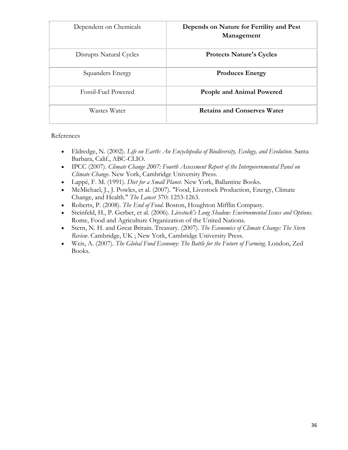| Dependent on Chemicals  | Depends on Nature for Fertility and Pest<br>Management |
|-------------------------|--------------------------------------------------------|
| Disrupts Natural Cycles | <b>Protects Nature's Cycles</b>                        |
| Squanders Energy        | <b>Produces Energy</b>                                 |
| Fossil-Fuel Powered     | People and Animal Powered                              |
| Wastes Water            | <b>Retains and Conserves Water</b>                     |

References

- Eldredge, N. (2002). *Life on Earth: An Encyclopedia of Biodiversity, Ecology, and Evolution*. Santa Barbara, Calif., ABC-CLIO.
- IPCC (2007). *Climate Change 2007: Fourth Assessment Report of the Intergovernmental Panel on Climate Change*. New York, Cambridge University Press.
- Lappé, F. M. (1991). *Diet for a Small Planet*. New York, Ballantine Books.
- McMichael, J., J. Powles, et al. (2007). "Food, Livestock Production, Energy, Climate Change, and Health." *The Lancet* 370: 1253-1263.
- Roberts, P. (2008). *The End of Food*. Boston, Houghton Mifflin Company.
- Steinfeld, H., P. Gerber, et al. (2006). *Livestock's Long Shadow: Environmental Issues and Options*. Rome, Food and Agriculture Organization of the United Nations.
- Stern, N. H. and Great Britain. Treasury. (2007). *The Economics of Climate Change: The Stern Review*. Cambridge, UK ; New York, Cambridge University Press.
- Weis, A. (2007). *The Global Food Economy: The Battle for the Future of Farming*. London, Zed Books.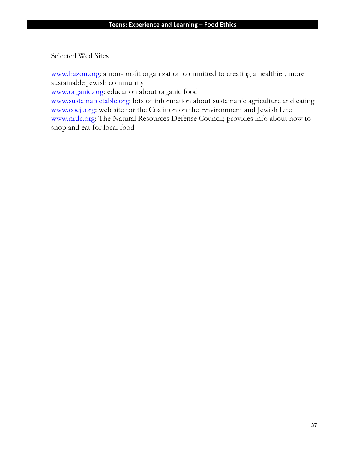Selected Wed Sites

www.hazon.org: a non-profit organization committed to creating a healthier, more sustainable Jewish community

www.organic.org: education about organic food

www.sustainabletable.org: lots of information about sustainable agriculture and eating www.coejl.org: web site for the Coalition on the Environment and Jewish Life www.nrdc.org: The Natural Resources Defense Council; provides info about how to shop and eat for local food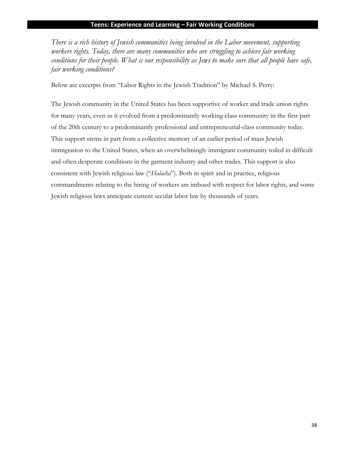#### **Teens: Experience and Learning – Fair Working Conditions**

*There is a rich history of Jewish communities being involved in the Labor movement, supporting workers rights. Today, there are many communities who are struggling to achieve fair working conditions for their people. What is our responsibility as Jews to make sure that all people have safe, fair working conditions?* 

Below are excerpts from "Labor Rights in the Jewish Tradition" by Michael S. Perry:

The Jewish community in the United States has been supportive of worker and trade union rights for many years, even as it evolved from a predominantly working-class community in the first part of the 20th century to a predominantly professional and entrepreneurial-class community today. This support stems in part from a collective memory of an earlier period of mass Jewish immigration to the United States, when an overwhelmingly immigrant community toiled in difficult and often desperate conditions in the garment industry and other trades. This support is also consistent with Jewish religious law ("*Halacha*"). Both in spirit and in practice, religious commandments relating to the hiring of workers are imbued with respect for labor rights, and some Jewish religious laws anticipate current secular labor law by thousands of years.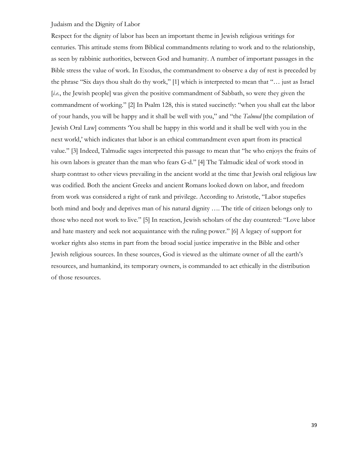#### Judaism and the Dignity of Labor

Respect for the dignity of labor has been an important theme in Jewish religious writings for centuries. This attitude stems from Biblical commandments relating to work and to the relationship, as seen by rabbinic authorities, between God and humanity. A number of important passages in the Bible stress the value of work. In Exodus, the commandment to observe a day of rest is preceded by the phrase "Six days thou shalt do thy work," [1] which is interpreted to mean that "… just as Israel [*i.e.*, the Jewish people] was given the positive commandment of Sabbath, so were they given the commandment of working." [2] In Psalm 128, this is stated succinctly: "when you shall eat the labor of your hands, you will be happy and it shall be well with you," and "the *Talmud* [the compilation of Jewish Oral Law] comments 'You shall be happy in this world and it shall be well with you in the next world,' which indicates that labor is an ethical commandment even apart from its practical value." [3] Indeed, Talmudic sages interpreted this passage to mean that "he who enjoys the fruits of his own labors is greater than the man who fears G-d." [4] The Talmudic ideal of work stood in sharp contrast to other views prevailing in the ancient world at the time that Jewish oral religious law was codified. Both the ancient Greeks and ancient Romans looked down on labor, and freedom from work was considered a right of rank and privilege. According to Aristotle, "Labor stupefies both mind and body and deprives man of his natural dignity …. The title of citizen belongs only to those who need not work to live." [5] In reaction, Jewish scholars of the day countered: "Love labor and hate mastery and seek not acquaintance with the ruling power." [6] A legacy of support for worker rights also stems in part from the broad social justice imperative in the Bible and other Jewish religious sources. In these sources, God is viewed as the ultimate owner of all the earth's resources, and humankind, its temporary owners, is commanded to act ethically in the distribution of those resources.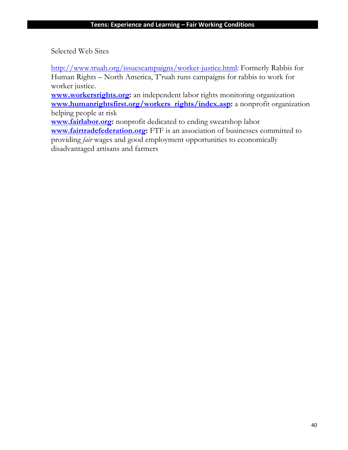Selected Web Sites

http://www.truah.org/issuescampaigns/worker-justice.html: Formerly Rabbis for Human Rights – North America, T'ruah runs campaigns for rabbis to work for worker justice.

**www.workersrights.org:** an independent labor rights monitoring organization **www.humanrightsfirst.org/workers\_rights/index.asp:** a nonprofit organization helping people at risk

**www.fairlabor.org:** nonprofit dedicated to ending sweatshop labor **www.fairtradefederation.org:** FTF is an association of businesses committed to providing *fair* wages and good employment opportunities to economically disadvantaged artisans and farmers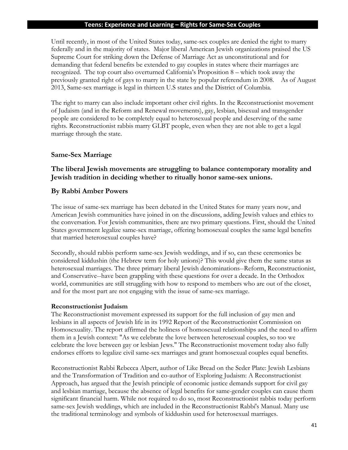#### **Teens: Experience and Learning – Rights for Same‐Sex Couples**

Until recently, in most of the United States today, same-sex couples are denied the right to marry federally and in the majority of states. Major liberal American Jewish organizations praised the US Supreme Court for striking down the Defense of Marriage Act as unconstitutional and for demanding that federal benefits be extended to gay couples in states where their marriages are recognized. The top court also overturned California's Proposition 8 – which took away the previously granted right of gays to marry in the state by popular referendum in 2008. As of August 2013, Same-sex marriage is legal in thirteen U.S states and the District of Columbia.

The right to marry can also include important other civil rights. In the Reconstructionist movement of Judaism (and in the Reform and Renewal movements), gay, lesbian, bisexual and transgender people are considered to be completely equal to heterosexual people and deserving of the same rights. Reconstructionist rabbis marry GLBT people, even when they are not able to get a legal marriage through the state.

#### **Same-Sex Marriage**

# **The liberal Jewish movements are struggling to balance contemporary morality and Jewish tradition in deciding whether to ritually honor same-sex unions.**

#### **By Rabbi Amber Powers**

The issue of same-sex marriage has been debated in the United States for many years now, and American Jewish communities have joined in on the discussions, adding Jewish values and ethics to the conversation. For Jewish communities, there are two primary questions. First, should the United States government legalize same-sex marriage, offering homosexual couples the same legal benefits that married heterosexual couples have?

Secondly, should rabbis perform same-sex Jewish weddings, and if so, can these ceremonies be considered kiddushin (the Hebrew term for holy unions)? This would give them the same status as heterosexual marriages. The three primary liberal Jewish denominations--Reform, Reconstructionist, and Conservative--have been grappling with these questions for over a decade. In the Orthodox world, communities are still struggling with how to respond to members who are out of the closet, and for the most part are not engaging with the issue of same-sex marriage.

#### **Reconstructionist Judaism**

The Reconstructionist movement expressed its support for the full inclusion of gay men and lesbians in all aspects of Jewish life in its 1992 Report of the Reconstructionist Commission on Homosexuality. The report affirmed the holiness of homosexual relationships and the need to affirm them in a Jewish context: "As we celebrate the love between heterosexual couples, so too we celebrate the love between gay or lesbian Jews." The Reconstructionist movement today also fully endorses efforts to legalize civil same-sex marriages and grant homosexual couples equal benefits.

Reconstructionist Rabbi Rebecca Alpert, author of Like Bread on the Seder Plate: Jewish Lesbians and the Transformation of Tradition and co-author of Exploring Judaism: A Reconstructionist Approach, has argued that the Jewish principle of economic justice demands support for civil gay and lesbian marriage, because the absence of legal benefits for same-gender couples can cause them significant financial harm. While not required to do so, most Reconstructionist rabbis today perform same-sex Jewish weddings, which are included in the Reconstructionist Rabbi's Manual. Many use the traditional terminology and symbols of kiddushin used for heterosexual marriages.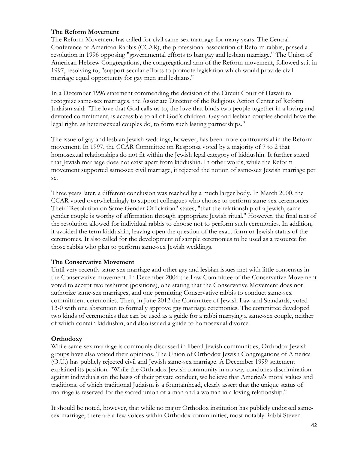#### **The Reform Movement**

The Reform Movement has called for civil same-sex marriage for many years. The Central Conference of American Rabbis (CCAR), the professional association of Reform rabbis, passed a resolution in 1996 opposing "governmental efforts to ban gay and lesbian marriage." The Union of American Hebrew Congregations, the congregational arm of the Reform movement, followed suit in 1997, resolving to, "support secular efforts to promote legislation which would provide civil marriage equal opportunity for gay men and lesbians."

In a December 1996 statement commending the decision of the Circuit Court of Hawaii to recognize same-sex marriages, the Associate Director of the Religious Action Center of Reform Judaism said: "The love that God calls us to, the love that binds two people together in a loving and devoted commitment, is accessible to all of God's children. Gay and lesbian couples should have the legal right, as heterosexual couples do, to form such lasting partnerships."

The issue of gay and lesbian Jewish weddings, however, has been more controversial in the Reform movement. In 1997, the CCAR Committee on Responsa voted by a majority of 7 to 2 that homosexual relationships do not fit within the Jewish legal category of kiddushin. It further stated that Jewish marriage does not exist apart from kiddushin. In other words, while the Reform movement supported same-sex civil marriage, it rejected the notion of same-sex Jewish marriage per se.

Three years later, a different conclusion was reached by a much larger body. In March 2000, the CCAR voted overwhelmingly to support colleagues who choose to perform same-sex ceremonies. Their "Resolution on Same Gender Officiation" states, "that the relationship of a Jewish, same gender couple is worthy of affirmation through appropriate Jewish ritual." However, the final text of the resolution allowed for individual rabbis to choose not to perform such ceremonies. In addition, it avoided the term kiddushin, leaving open the question of the exact form or Jewish status of the ceremonies. It also called for the development of sample ceremonies to be used as a resource for those rabbis who plan to perform same-sex Jewish weddings.

#### **The Conservative Movement**

Until very recently same-sex marriage and other gay and lesbian issues met with little consensus in the Conservative movement. In December 2006 the Law Committee of the Conservative Movement voted to accept two teshuvot (positions), one stating that the Conservative Movement does not authorize same-sex marriages, and one permitting Conservative rabbis to conduct same-sex commitment ceremonies. Then, in June 2012 the Committee of Jewish Law and Standards, voted 13-0 with one abstention to formally approve gay marriage ceremonies. The committee developed two kinds of ceremonies that can be used as a guide for a rabbi marrying a same-sex couple, neither of which contain kiddushin, and also issued a guide to homosexual divorce.

#### **Orthodoxy**

While same-sex marriage is commonly discussed in liberal Jewish communities, Orthodox Jewish groups have also voiced their opinions. The Union of Orthodox Jewish Congregations of America (O.U.) has publicly rejected civil and Jewish same-sex marriage. A December 1999 statement explained its position. "While the Orthodox Jewish community in no way condones discrimination against individuals on the basis of their private conduct, we believe that America's moral values and traditions, of which traditional Judaism is a fountainhead, clearly assert that the unique status of marriage is reserved for the sacred union of a man and a woman in a loving relationship."

It should be noted, however, that while no major Orthodox institution has publicly endorsed samesex marriage, there are a few voices within Orthodox communities, most notably Rabbi Steven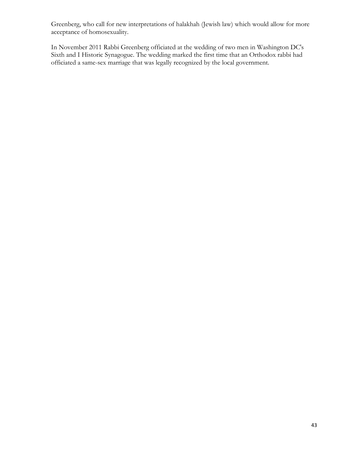Greenberg, who call for new interpretations of halakhah (Jewish law) which would allow for more acceptance of homosexuality.

In November 2011 Rabbi Greenberg officiated at the wedding of two men in Washington DC's Sixth and I Historic Synagogue. The wedding marked the first time that an Orthodox rabbi had officiated a same-sex marriage that was legally recognized by the local government.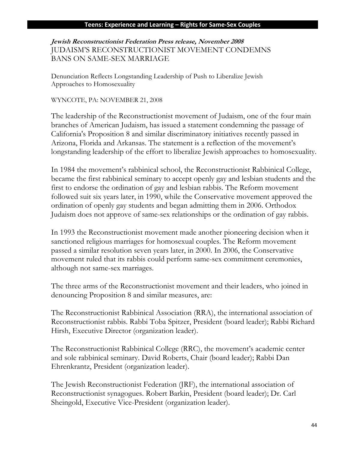#### **Teens: Experience and Learning – Rights for Same‐Sex Couples**

# **Jewish Reconstructionist Federation Press release, November 2008**  JUDAISM'S RECONSTRUCTIONIST MOVEMENT CONDEMNS BANS ON SAME-SEX MARRIAGE

Denunciation Reflects Longstanding Leadership of Push to Liberalize Jewish Approaches to Homosexuality

# WYNCOTE, PA: NOVEMBER 21, 2008

The leadership of the Reconstructionist movement of Judaism, one of the four main branches of American Judaism, has issued a statement condemning the passage of California's Proposition 8 and similar discriminatory initiatives recently passed in Arizona, Florida and Arkansas. The statement is a reflection of the movement's longstanding leadership of the effort to liberalize Jewish approaches to homosexuality.

In 1984 the movement's rabbinical school, the Reconstructionist Rabbinical College, became the first rabbinical seminary to accept openly gay and lesbian students and the first to endorse the ordination of gay and lesbian rabbis. The Reform movement followed suit six years later, in 1990, while the Conservative movement approved the ordination of openly gay students and began admitting them in 2006. Orthodox Judaism does not approve of same-sex relationships or the ordination of gay rabbis.

In 1993 the Reconstructionist movement made another pioneering decision when it sanctioned religious marriages for homosexual couples. The Reform movement passed a similar resolution seven years later, in 2000. In 2006, the Conservative movement ruled that its rabbis could perform same-sex commitment ceremonies, although not same-sex marriages.

The three arms of the Reconstructionist movement and their leaders, who joined in denouncing Proposition 8 and similar measures, are:

The Reconstructionist Rabbinical Association (RRA), the international association of Reconstructionist rabbis. Rabbi Toba Spitzer, President (board leader); Rabbi Richard Hirsh, Executive Director (organization leader).

The Reconstructionist Rabbinical College (RRC), the movement's academic center and sole rabbinical seminary. David Roberts, Chair (board leader); Rabbi Dan Ehrenkrantz, President (organization leader).

The Jewish Reconstructionist Federation (JRF), the international association of Reconstructionist synagogues. Robert Barkin, President (board leader); Dr. Carl Sheingold, Executive Vice-President (organization leader).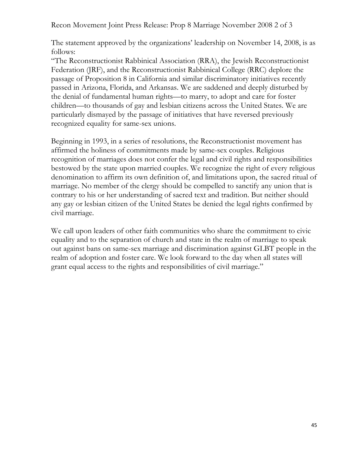Recon Movement Joint Press Release: Prop 8 Marriage November 2008 2 of 3

The statement approved by the organizations' leadership on November 14, 2008, is as follows:

"The Reconstructionist Rabbinical Association (RRA), the Jewish Reconstructionist Federation (JRF), and the Reconstructionist Rabbinical College (RRC) deplore the passage of Proposition 8 in California and similar discriminatory initiatives recently passed in Arizona, Florida, and Arkansas. We are saddened and deeply disturbed by the denial of fundamental human rights—to marry, to adopt and care for foster children—to thousands of gay and lesbian citizens across the United States. We are particularly dismayed by the passage of initiatives that have reversed previously recognized equality for same-sex unions.

Beginning in 1993, in a series of resolutions, the Reconstructionist movement has affirmed the holiness of commitments made by same-sex couples. Religious recognition of marriages does not confer the legal and civil rights and responsibilities bestowed by the state upon married couples. We recognize the right of every religious denomination to affirm its own definition of, and limitations upon, the sacred ritual of marriage. No member of the clergy should be compelled to sanctify any union that is contrary to his or her understanding of sacred text and tradition. But neither should any gay or lesbian citizen of the United States be denied the legal rights confirmed by civil marriage.

We call upon leaders of other faith communities who share the commitment to civic equality and to the separation of church and state in the realm of marriage to speak out against bans on same-sex marriage and discrimination against GLBT people in the realm of adoption and foster care. We look forward to the day when all states will grant equal access to the rights and responsibilities of civil marriage."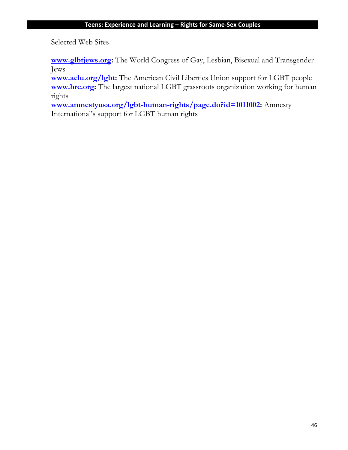Selected Web Sites

**www.glbtjews.org:** The World Congress of Gay, Lesbian, Bisexual and Transgender Jews

**www.aclu.org/lgbt:** The American Civil Liberties Union support for LGBT people **www.hrc.org:** The largest national LGBT grassroots organization working for human rights

**www.amnestyusa.org/lgbt-human-rights/page.do?id=1011002:** Amnesty International's support for LGBT human rights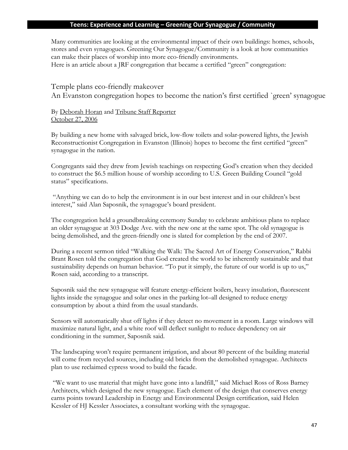#### **Teens: Experience and Learning – Greening Our Synagogue / Community**

Many communities are looking at the environmental impact of their own buildings: homes, schools, stores and even synagogues. Greening Our Synagogue/Community is a look at how communities can make their places of worship into more eco-friendly environments. Here is an article about a JRF congregation that became a certified "green" congregation:

#### Temple plans eco-friendly makeover

An Evanston congregation hopes to become the nation's first certified `green' synagogue

By Deborah Horan and Tribune Staff Reporter October 27, 2006

By building a new home with salvaged brick, low-flow toilets and solar-powered lights, the Jewish Reconstructionist Congregation in Evanston (Illinois) hopes to become the first certified "green" synagogue in the nation.

Congregants said they drew from Jewish teachings on respecting God's creation when they decided to construct the \$6.5 million house of worship according to U.S. Green Building Council "gold status" specifications.

 "Anything we can do to help the environment is in our best interest and in our children's best interest," said Alan Saposnik, the synagogue's board president.

The congregation held a groundbreaking ceremony Sunday to celebrate ambitious plans to replace an older synagogue at 303 Dodge Ave. with the new one at the same spot. The old synagogue is being demolished, and the green-friendly one is slated for completion by the end of 2007.

During a recent sermon titled "Walking the Walk: The Sacred Art of Energy Conservation," Rabbi Brant Rosen told the congregation that God created the world to be inherently sustainable and that sustainability depends on human behavior. "To put it simply, the future of our world is up to us," Rosen said, according to a transcript.

Saposnik said the new synagogue will feature energy-efficient boilers, heavy insulation, fluorescent lights inside the synagogue and solar ones in the parking lot–all designed to reduce energy consumption by about a third from the usual standards.

Sensors will automatically shut off lights if they detect no movement in a room. Large windows will maximize natural light, and a white roof will deflect sunlight to reduce dependency on air conditioning in the summer, Saposnik said.

The landscaping won't require permanent irrigation, and about 80 percent of the building material will come from recycled sources, including old bricks from the demolished synagogue. Architects plan to use reclaimed cypress wood to build the facade.

 "We want to use material that might have gone into a landfill," said Michael Ross of Ross Barney Architects, which designed the new synagogue. Each element of the design that conserves energy earns points toward Leadership in Energy and Environmental Design certification, said Helen Kessler of HJ Kessler Associates, a consultant working with the synagogue.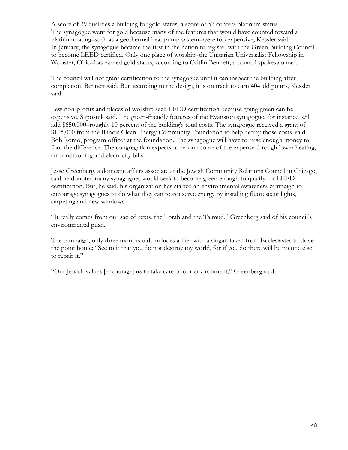A score of 39 qualifies a building for gold status; a score of 52 confers platinum status. The synagogue went for gold because many of the features that would have counted toward a platinum rating–such as a geothermal heat pump system–were too expensive, Kessler said. In January, the synagogue became the first in the nation to register with the Green Building Council to become LEED certified. Only one place of worship–the Unitarian Universalist Fellowship in Wooster, Ohio–has earned gold status, according to Caitlin Bennett, a council spokeswoman.

The council will not grant certification to the synagogue until it can inspect the building after completion, Bennett said. But according to the design, it is on track to earn 40-odd points, Kessler said.

Few non-profits and places of worship seek LEED certification because going green can be expensive, Saposnik said. The green-friendly features of the Evanston synagogue, for instance, will add \$650,000–roughly 10 percent of the building's total costs. The synagogue received a grant of \$105,000 from the Illinois Clean Energy Community Foundation to help defray those costs, said Bob Romo, program officer at the foundation. The synagogue will have to raise enough money to foot the difference. The congregation expects to recoup some of the expense through lower heating, air conditioning and electricity bills.

Jesse Greenberg, a domestic affairs associate at the Jewish Community Relations Council in Chicago, said he doubted many synagogues would seek to become green enough to qualify for LEED certification. But, he said, his organization has started an environmental awareness campaign to encourage synagogues to do what they can to conserve energy by installing fluorescent lights, carpeting and new windows.

"It really comes from our sacred texts, the Torah and the Talmud," Greenberg said of his council's environmental push.

The campaign, only three months old, includes a flier with a slogan taken from Ecclesiastes to drive the point home: "See to it that you do not destroy my world, for if you do there will be no one else to repair it."

"Our Jewish values [encourage] us to take care of our environment," Greenberg said.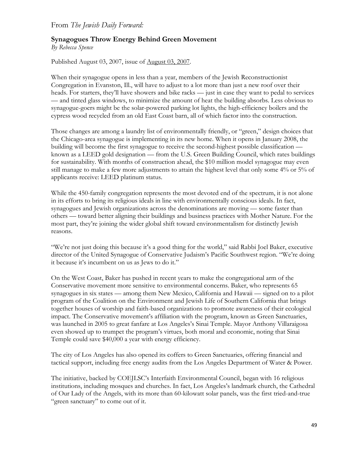## From *The Jewish Daily Forward:*

#### **Synagogues Throw Energy Behind Green Movement**

*By Rebecca Spence* 

Published August 03, 2007, issue of August 03, 2007.

When their synagogue opens in less than a year, members of the Jewish Reconstructionist Congregation in Evanston, Ill., will have to adjust to a lot more than just a new roof over their heads. For starters, they'll have showers and bike racks — just in case they want to pedal to services — and tinted glass windows, to minimize the amount of heat the building absorbs. Less obvious to synagogue-goers might be the solar-powered parking lot lights, the high-efficiency boilers and the cypress wood recycled from an old East Coast barn, all of which factor into the construction.

Those changes are among a laundry list of environmentally friendly, or "green," design choices that the Chicago-area synagogue is implementing in its new home. When it opens in January 2008, the building will become the first synagogue to receive the second-highest possible classification known as a LEED gold designation — from the U.S. Green Building Council, which rates buildings for sustainability. With months of construction ahead, the \$10 million model synagogue may even still manage to make a few more adjustments to attain the highest level that only some 4% or 5% of applicants receive: LEED platinum status.

While the 450-family congregation represents the most devoted end of the spectrum, it is not alone in its efforts to bring its religious ideals in line with environmentally conscious ideals. In fact, synagogues and Jewish organizations across the denominations are moving — some faster than others — toward better aligning their buildings and business practices with Mother Nature. For the most part, they're joining the wider global shift toward environmentalism for distinctly Jewish reasons.

"We're not just doing this because it's a good thing for the world," said Rabbi Joel Baker, executive director of the United Synagogue of Conservative Judaism's Pacific Southwest region. "We're doing it because it's incumbent on us as Jews to do it."

On the West Coast, Baker has pushed in recent years to make the congregational arm of the Conservative movement more sensitive to environmental concerns. Baker, who represents 65 synagogues in six states — among them New Mexico, California and Hawaii — signed on to a pilot program of the Coalition on the Environment and Jewish Life of Southern California that brings together houses of worship and faith-based organizations to promote awareness of their ecological impact. The Conservative movement's affiliation with the program, known as Green Sanctuaries, was launched in 2005 to great fanfare at Los Angeles's Sinai Temple. Mayor Anthony Villaraigosa even showed up to trumpet the program's virtues, both moral and economic, noting that Sinai Temple could save \$40,000 a year with energy efficiency.

The city of Los Angeles has also opened its coffers to Green Sanctuaries, offering financial and tactical support, including free energy audits from the Los Angeles Department of Water & Power.

The initiative, backed by COEJLSC's Interfaith Environmental Council, began with 16 religious institutions, including mosques and churches. In fact, Los Angeles's landmark church, the Cathedral of Our Lady of the Angels, with its more than 60-kilowatt solar panels, was the first tried-and-true "green sanctuary" to come out of it.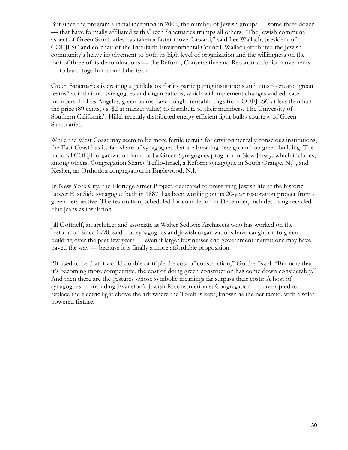But since the program's initial inception in 2002, the number of Jewish groups — some three dozen — that have formally affiliated with Green Sanctuaries trumps all others. "The Jewish communal aspect of Green Sanctuaries has taken a faster move forward," said Lee Wallach, president of COEJLSC and co-chair of the Interfaith Environmental Council. Wallach attributed the Jewish community's heavy involvement to both its high level of organization and the willingness on the part of three of its denominations — the Reform, Conservative and Reconstructionist movements — to band together around the issue.

Green Sanctuaries is creating a guidebook for its participating institutions and aims to create "green teams" at individual synagogues and organizations, which will implement changes and educate members. In Los Angeles, green teams have bought reusable bags from COEJLSC at less than half the price (89 cents, vs. \$2 at market value) to distribute to their members. The University of Southern California's Hillel recently distributed energy efficient light bulbs courtesy of Green Sanctuaries.

While the West Coast may seem to be more fertile terrain for environmentally conscious institutions, the East Coast has its fair share of synagogues that are breaking new ground on green building. The national COEJL organization launched a Green Synagogues program in New Jersey, which includes, among others, Congregation Sharey Tefilo-Israel, a Reform synagogue in South Orange, N.J., and Kesher, an Orthodox congregation in Englewood, N.J.

In New York City, the Eldridge Street Project, dedicated to preserving Jewish life at the historic Lower East Side synagogue built in 1887, has been working on its 20-year restoration project from a green perspective. The restoration, scheduled for completion in December, includes using recycled blue jeans as insulation.

Jill Gotthelf, an architect and associate at Walter Sedovic Architects who has worked on the restoration since 1990, said that synagogues and Jewish organizations have caught on to green building over the past few years — even if larger businesses and government institutions may have paved the way — because it is finally a more affordable proposition.

"It used to be that it would double or triple the cost of construction," Gotthelf said. "But now that it's becoming more competitive, the cost of doing green construction has come down considerably." And then there are the gestures whose symbolic meanings far surpass their costs: A host of synagogues — including Evanston's Jewish Reconstructionist Congregation — have opted to replace the electric light above the ark where the Torah is kept, known as the ner tamid, with a solarpowered fixture.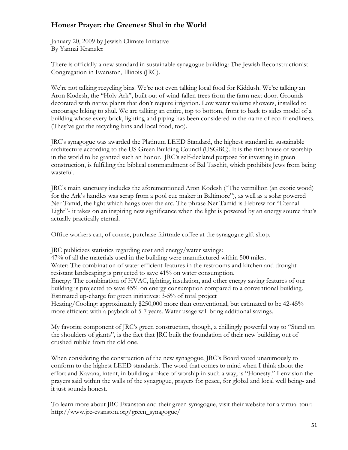# **Honest Prayer: the Greenest Shul in the World**

January 20, 2009 by Jewish Climate Initiative By Yannai Kranzler

There is officially a new standard in sustainable synagogue building: The Jewish Reconstructionist Congregation in Evanston, Illinois (JRC).

We're not talking recycling bins. We're not even talking local food for Kiddush. We're talking an Aron Kodesh, the "Holy Ark", built out of wind-fallen trees from the farm next door. Grounds decorated with native plants that don't require irrigation. Low water volume showers, installed to encourage biking to shul. We are talking an entire, top to bottom, front to back to sides model of a building whose every brick, lighting and piping has been considered in the name of eco-friendliness. (They've got the recycling bins and local food, too).

JRC's synagogue was awarded the Platinum LEED Standard, the highest standard in sustainable architecture according to the US Green Building Council (USGBC). It is the first house of worship in the world to be granted such an honor. JRC's self-declared purpose for investing in green construction, is fulfilling the biblical commandment of Bal Taschit, which prohibits Jews from being wasteful.

JRC's main sanctuary includes the aforementioned Aron Kodesh ("The vermillion (an exotic wood) for the Ark's handles was scrap from a pool cue maker in Baltimore"), as well as a solar powered Ner Tamid, the light which hangs over the arc. The phrase Ner Tamid is Hebrew for "Eternal Light"- it takes on an inspiring new significance when the light is powered by an energy source that's actually practically eternal.

Office workers can, of course, purchase fairtrade coffee at the synagogue gift shop.

JRC publicizes statistics regarding cost and energy/water savings: 47% of all the materials used in the building were manufactured within 500 miles. Water: The combination of water efficient features in the restrooms and kitchen and droughtresistant landscaping is projected to save 41% on water consumption. Energy: The combination of HVAC, lighting, insulation, and other energy saving features of our building is projected to save 45% on energy consumption compared to a conventional building. Estimated up-charge for green initiatives: 3-5% of total project Heating/Cooling: approximately \$250,000 more than conventional, but estimated to be 42-45%

more efficient with a payback of 5-7 years. Water usage will bring additional savings.

My favorite component of JRC's green construction, though, a chillingly powerful way to "Stand on the shoulders of giants", is the fact that JRC built the foundation of their new building, out of crushed rubble from the old one.

When considering the construction of the new synagogue, JRC's Board voted unanimously to conform to the highest LEED standards. The word that comes to mind when I think about the effort and Kavana, intent, in building a place of worship in such a way, is "Honesty." I envision the prayers said within the walls of the synagogue, prayers for peace, for global and local well being- and it just sounds honest.

To learn more about JRC Evanston and their green synagogue, visit their website for a virtual tour: http://www.jrc-evanston.org/green\_synagogue/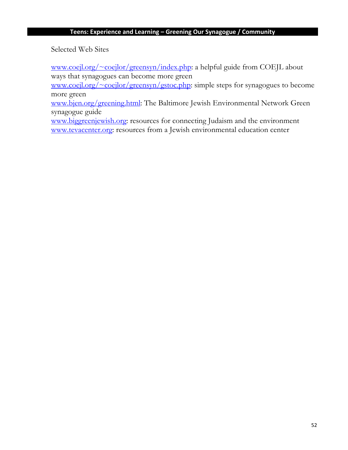# **Teens: Experience and Learning – Greening Our Synagogue / Community**

Selected Web Sites

www.coejl.org/~coejlor/greensyn/index.php: a helpful guide from COEJL about ways that synagogues can become more green

www.coejl.org/~coejlor/greensyn/gstoc.php: simple steps for synagogues to become more green

www.bjen.org/greening.html: The Baltimore Jewish Environmental Network Green synagogue guide

www.biggreenjewish.org: resources for connecting Judaism and the environment www.tevacenter.org: resources from a Jewish environmental education center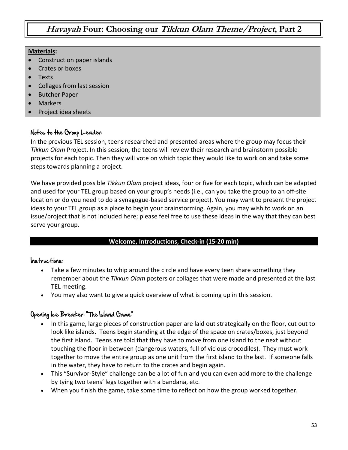# **Havayah Four: Choosing our Tikkun Olam Theme/Project, Part 2**

## **Materials:**

- Construction paper islands
- Crates or boxes
- Texts
- Collages from last session
- Butcher Paper
- Markers
- Project idea sheets

# Notes to the Group Leader:

In the previous TEL session, teens researched and presented areas where the group may focus their *Tikkun Olam* Project. In this session, the teens will review their research and brainstorm possible projects for each topic. Then they will vote on which topic they would like to work on and take some steps towards planning a project.

We have provided possible *Tikkun Olam* project ideas, four or five for each topic, which can be adapted and used for your TEL group based on your group's needs (i.e., can you take the group to an off‐site location or do you need to do a synagogue‐based service project). You may want to present the project ideas to your TEL group as a place to begin your brainstorming. Again, you may wish to work on an issue/project that is not included here; please feel free to use these ideas in the way that they can best serve your group.

# **Welcome, Introductions, Check‐in (15‐20 min)**

# Instructions:

- Take a few minutes to whip around the circle and have every teen share something they remember about the *Tikkun Olam* posters or collages that were made and presented at the last TEL meeting.
- You may also want to give a quick overview of what is coming up in this session.

# Opening Ice Breaker: "The Island Game"

- In this game, large pieces of construction paper are laid out strategically on the floor, cut out to look like islands. Teens begin standing at the edge of the space on crates/boxes, just beyond the first island. Teens are told that they have to move from one island to the next without touching the floor in between (dangerous waters, full of vicious crocodiles). They must work together to move the entire group as one unit from the first island to the last. If someone falls in the water, they have to return to the crates and begin again.
- This "Survivor‐Style" challenge can be a lot of fun and you can even add more to the challenge by tying two teens' legs together with a bandana, etc.
- When you finish the game, take some time to reflect on how the group worked together.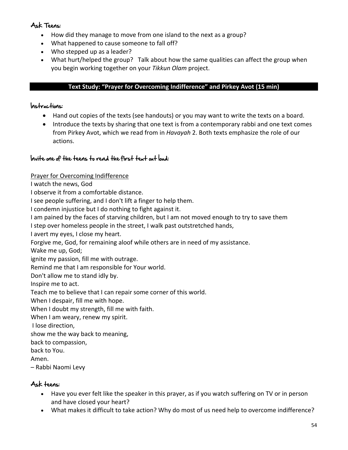# Ask Teens:

- How did they manage to move from one island to the next as a group?
- What happened to cause someone to fall off?
- Who stepped up as a leader?
- What hurt/helped the group? Talk about how the same qualities can affect the group when you begin working together on your *Tikkun Olam* project.

## **Text Study: "Prayer for Overcoming Indifference" and Pirkey Avot (15 min)**

## Instructions:

- Hand out copies of the texts (see handouts) or you may want to write the texts on a board.
- Introduce the texts by sharing that one text is from a contemporary rabbi and one text comes from Pirkey Avot, which we read from in *Havayah* 2. Both texts emphasize the role of our actions.

# Invite one of the teens to read the first text out loud:

# Prayer for Overcoming Indifference

I watch the news, God

I observe it from a comfortable distance.

I see people suffering, and I don't lift a finger to help them.

I condemn injustice but I do nothing to fight against it.

I am pained by the faces of starving children, but I am not moved enough to try to save them

I step over homeless people in the street, I walk past outstretched hands,

I avert my eyes, I close my heart.

Forgive me, God, for remaining aloof while others are in need of my assistance.

Wake me up, God;

ignite my passion, fill me with outrage.

Remind me that I am responsible for Your world.

Don't allow me to stand idly by.

Inspire me to act.

Teach me to believe that I can repair some corner of this world.

When I despair, fill me with hope.

When I doubt my strength, fill me with faith.

When I am weary, renew my spirit.

I lose direction,

show me the way back to meaning,

back to compassion,

back to You.

Amen.

– Rabbi Naomi Levy

# Ask teens:

- Have you ever felt like the speaker in this prayer, as if you watch suffering on TV or in person and have closed your heart?
- What makes it difficult to take action? Why do most of us need help to overcome indifference?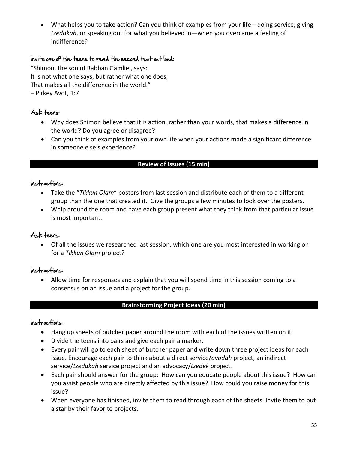What helps you to take action? Can you think of examples from your life—doing service, giving *tzedakah*, or speaking out for what you believed in—when you overcame a feeling of indifference?

# Invite one of the teens to read the second text out loud:

"Shimon, the son of Rabban Gamliel, says: It is not what one says, but rather what one does, That makes all the difference in the world." – Pirkey Avot, 1:7

# Ask teens:

- Why does Shimon believe that it is action, rather than your words, that makes a difference in the world? Do you agree or disagree?
- Can you think of examples from your own life when your actions made a significant difference in someone else's experience?

# **Review of Issues (15 min)**

# Instructions:

- Take the "*Tikkun Olam*" posters from last session and distribute each of them to a different group than the one that created it. Give the groups a few minutes to look over the posters.
- Whip around the room and have each group present what they think from that particular issue is most important.

# Ask teens:

 Of all the issues we researched last session, which one are you most interested in working on for a *Tikkun Olam* project?

# Instructions:

 Allow time for responses and explain that you will spend time in this session coming to a consensus on an issue and a project for the group.

# **Brainstorming Project Ideas (20 min)**

# Instructions:

- Hang up sheets of butcher paper around the room with each of the issues written on it.
- Divide the teens into pairs and give each pair a marker.
- Every pair will go to each sheet of butcher paper and write down three project ideas for each issue. Encourage each pair to think about a direct service/*avodah* project, an indirect service/*tzedakah* service project and an advocacy/*tzedek* project.
- Each pair should answer for the group: How can you educate people about this issue? How can you assist people who are directly affected by this issue? How could you raise money for this issue?
- When everyone has finished, invite them to read through each of the sheets. Invite them to put a star by their favorite projects.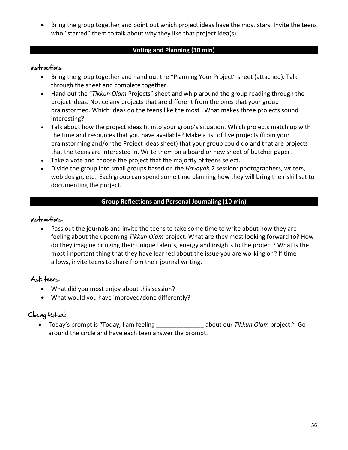Bring the group together and point out which project ideas have the most stars. Invite the teens who "starred" them to talk about why they like that project idea(s).

# **Voting and Planning (30 min)**

#### Instructions:

- Bring the group together and hand out the "Planning Your Project" sheet (attached). Talk through the sheet and complete together.
- Hand out the "*Tikkun Olam* Projects" sheet and whip around the group reading through the project ideas. Notice any projects that are different from the ones that your group brainstormed. Which ideas do the teens like the most? What makes those projects sound interesting?
- Talk about how the project ideas fit into your group's situation. Which projects match up with the time and resources that you have available? Make a list of five projects (from your brainstorming and/or the Project Ideas sheet) that your group could do and that are projects that the teens are interested in. Write them on a board or new sheet of butcher paper.
- Take a vote and choose the project that the majority of teens select.
- Divide the group into small groups based on the *Havayah* 2 session: photographers, writers, web design, etc. Each group can spend some time planning how they will bring their skill set to documenting the project.

# **Group Reflections and Personal Journaling (10 min)**

#### Instructions:

 Pass out the journals and invite the teens to take some time to write about how they are feeling about the upcoming *Tikkun Olam* project. What are they most looking forward to? How do they imagine bringing their unique talents, energy and insights to the project? What is the most important thing that they have learned about the issue you are working on? If time allows, invite teens to share from their journal writing.

# Ask teens:

- What did you most enjoy about this session?
- What would you have improved/done differently?

# Closing Ritual:

• Today's prompt is "Today, I am feeling and about our *Tikkun Olam* project." Go around the circle and have each teen answer the prompt.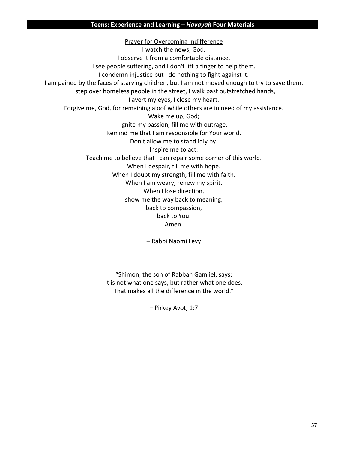Prayer for Overcoming Indifference I watch the news, God. I observe it from a comfortable distance. I see people suffering, and I don't lift a finger to help them. I condemn injustice but I do nothing to fight against it. I am pained by the faces of starving children, but I am not moved enough to try to save them. I step over homeless people in the street, I walk past outstretched hands, I avert my eyes, I close my heart. Forgive me, God, for remaining aloof while others are in need of my assistance. Wake me up, God; ignite my passion, fill me with outrage. Remind me that I am responsible for Your world. Don't allow me to stand idly by. Inspire me to act. Teach me to believe that I can repair some corner of this world. When I despair, fill me with hope. When I doubt my strength, fill me with faith. When I am weary, renew my spirit. When I lose direction, show me the way back to meaning, back to compassion, back to You. Amen.

– Rabbi Naomi Levy

"Shimon, the son of Rabban Gamliel, says: It is not what one says, but rather what one does, That makes all the difference in the world."

– Pirkey Avot, 1:7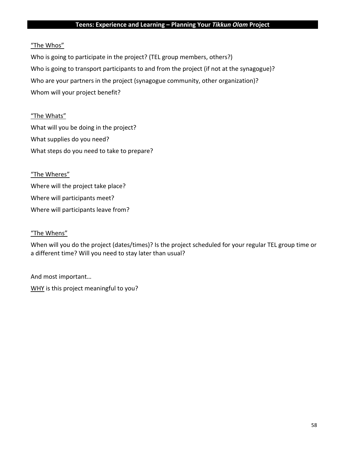#### **Teens: Experience and Learning – Planning Your** *Tikkun Olam* **Project**

#### "The Whos"

Who is going to participate in the project? (TEL group members, others?) Who is going to transport participants to and from the project (if not at the synagogue)? Who are your partners in the project (synagogue community, other organization)? Whom will your project benefit?

#### "The Whats"

What will you be doing in the project? What supplies do you need? What steps do you need to take to prepare?

# "The Wheres"

Where will the project take place? Where will participants meet?

Where will participants leave from?

# "The Whens"

When will you do the project (dates/times)? Is the project scheduled for your regular TEL group time or a different time? Will you need to stay later than usual?

And most important…

WHY is this project meaningful to you?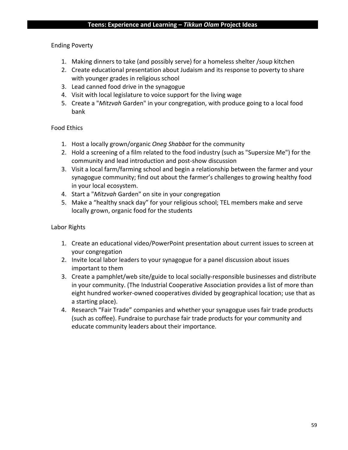Ending Poverty

- 1. Making dinners to take (and possibly serve) for a homeless shelter /soup kitchen
- 2. Create educational presentation about Judaism and its response to poverty to share with younger grades in religious school
- 3. Lead canned food drive in the synagogue
- 4. Visit with local legislature to voice support for the living wage
- 5. Create a "*Mitzvah* Garden" in your congregation, with produce going to a local food bank

Food Ethics

- 1. Host a locally grown/organic *Oneg Shabbat* for the community
- 2. Hold a screening of a film related to the food industry (such as "Supersize Me") for the community and lead introduction and post‐show discussion
- 3. Visit a local farm/farming school and begin a relationship between the farmer and your synagogue community; find out about the farmer's challenges to growing healthy food in your local ecosystem.
- 4. Start a "*Mitzvah* Garden" on site in your congregation
- 5. Make a "healthy snack day" for your religious school; TEL members make and serve locally grown, organic food for the students

Labor Rights

- 1. Create an educational video/PowerPoint presentation about current issues to screen at your congregation
- 2. Invite local labor leaders to your synagogue for a panel discussion about issues important to them
- 3. Create a pamphlet/web site/guide to local socially-responsible businesses and distribute in your community. (The Industrial Cooperative Association provides a list of more than eight hundred worker‐owned cooperatives divided by geographical location; use that as a starting place).
- 4. Research "Fair Trade" companies and whether your synagogue uses fair trade products (such as coffee). Fundraise to purchase fair trade products for your community and educate community leaders about their importance.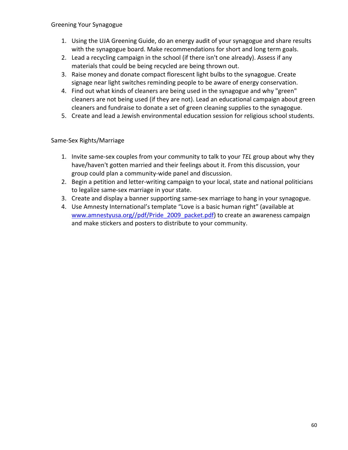- 1. Using the UJA Greening Guide, do an energy audit of your synagogue and share results with the synagogue board. Make recommendations for short and long term goals.
- 2. Lead a recycling campaign in the school (if there isn't one already). Assess if any materials that could be being recycled are being thrown out.
- 3. Raise money and donate compact florescent light bulbs to the synagogue. Create signage near light switches reminding people to be aware of energy conservation.
- 4. Find out what kinds of cleaners are being used in the synagogue and why "green" cleaners are not being used (if they are not). Lead an educational campaign about green cleaners and fundraise to donate a set of green cleaning supplies to the synagogue.
- 5. Create and lead a Jewish environmental education session for religious school students.

# Same‐Sex Rights/Marriage

- 1. Invite same‐sex couples from your community to talk to your *TEL* group about why they have/haven't gotten married and their feelings about it. From this discussion, your group could plan a community‐wide panel and discussion.
- 2. Begin a petition and letter-writing campaign to your local, state and national politicians to legalize same‐sex marriage in your state.
- 3. Create and display a banner supporting same‐sex marriage to hang in your synagogue.
- 4. Use Amnesty International's template "Love is a basic human right" (available at www.amnestyusa.org//pdf/Pride\_2009\_packet.pdf) to create an awareness campaign and make stickers and posters to distribute to your community.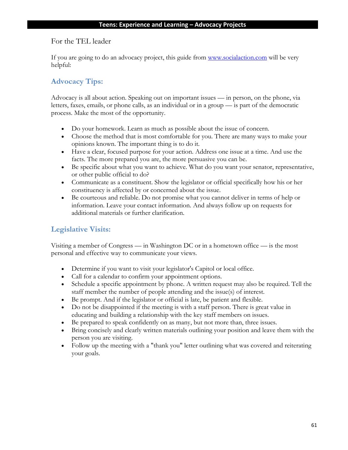# For the TEL leader

If you are going to do an advocacy project, this guide from www.socialaction.com will be very helpful:

# **Advocacy Tips:**

Advocacy is all about action. Speaking out on important issues — in person, on the phone, via letters, faxes, emails, or phone calls, as an individual or in a group — is part of the democratic process. Make the most of the opportunity.

- Do your homework. Learn as much as possible about the issue of concern.
- Choose the method that is most comfortable for you. There are many ways to make your opinions known. The important thing is to do it.
- Have a clear, focused purpose for your action. Address one issue at a time. And use the facts. The more prepared you are, the more persuasive you can be.
- Be specific about what you want to achieve. What do you want your senator, representative, or other public official to do?
- Communicate as a constituent. Show the legislator or official specifically how his or her constituency is affected by or concerned about the issue.
- Be courteous and reliable. Do not promise what you cannot deliver in terms of help or information. Leave your contact information. And always follow up on requests for additional materials or further clarification.

# **Legislative Visits:**

Visiting a member of Congress — in Washington DC or in a hometown office — is the most personal and effective way to communicate your views.

- Determine if you want to visit your legislator's Capitol or local office.
- Call for a calendar to confirm your appointment options.
- Schedule a specific appointment by phone. A written request may also be required. Tell the staff member the number of people attending and the issue(s) of interest.
- Be prompt. And if the legislator or official is late, be patient and flexible.
- Do not be disappointed if the meeting is with a staff person. There is great value in educating and building a relationship with the key staff members on issues.
- Be prepared to speak confidently on as many, but not more than, three issues.
- Bring concisely and clearly written materials outlining your position and leave them with the person you are visiting.
- Follow up the meeting with a "thank you" letter outlining what was covered and reiterating your goals.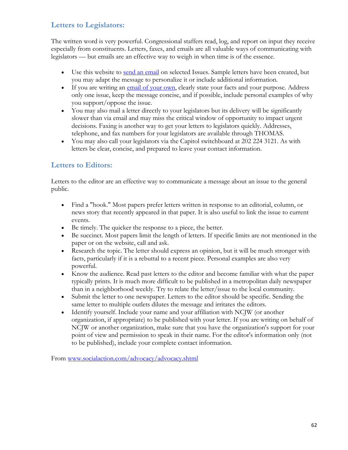# **Letters to Legislators:**

The written word is very powerful. Congressional staffers read, log, and report on input they receive especially from constituents. Letters, faxes, and emails are all valuable ways of communicating with legislators — but emails are an effective way to weigh in when time is of the essence.

- Use this website to send an email on selected Issues. Sample letters have been created, but you may adapt the message to personalize it or include additional information.
- If you are writing an email of your own, clearly state your facts and your purpose. Address only one issue, keep the message concise, and if possible, include personal examples of why you support/oppose the issue.
- You may also mail a letter directly to your legislators but its delivery will be significantly slower than via email and may miss the critical window of opportunity to impact urgent decisions. Faxing is another way to get your letters to legislators quickly. Addresses, telephone, and fax numbers for your legislators are available through THOMAS.
- You may also call your legislators via the Capitol switchboard at 202 224 3121. As with letters be clear, concise, and prepared to leave your contact information.

# **Letters to Editors:**

Letters to the editor are an effective way to communicate a message about an issue to the general public.

- Find a "hook." Most papers prefer letters written in response to an editorial, column, or news story that recently appeared in that paper. It is also useful to link the issue to current events.
- Be timely. The quicker the response to a piece, the better.
- Be succinct. Most papers limit the length of letters. If specific limits are not mentioned in the paper or on the website, call and ask.
- Research the topic. The letter should express an opinion, but it will be much stronger with facts, particularly if it is a rebuttal to a recent piece. Personal examples are also very powerful.
- Know the audience. Read past letters to the editor and become familiar with what the paper typically prints. It is much more difficult to be published in a metropolitan daily newspaper than in a neighborhood weekly. Try to relate the letter/issue to the local community.
- Submit the letter to one newspaper. Letters to the editor should be specific. Sending the same letter to multiple outlets dilutes the message and irritates the editors.
- Identify yourself. Include your name and your affiliation with NCJW (or another organization, if appropriate) to be published with your letter. If you are writing on behalf of NCJW or another organization, make sure that you have the organization's support for your point of view and permission to speak in their name. For the editor's information only (not to be published), include your complete contact information.

From www.socialaction.com/advocacy/advocacy.shtml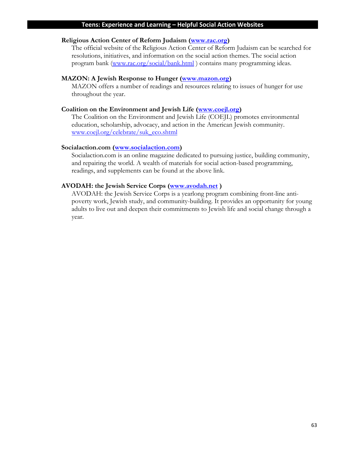#### **Teens: Experience and Learning – Helpful Social Action Websites**

#### **Religious Action Center of Reform Judaism (www.rac.org)**

The official website of the Religious Action Center of Reform Judaism can be searched for resolutions, initiatives, and information on the social action themes. The social action program bank (www.rac.org/social/bank.html ) contains many programming ideas.

#### **MAZON: A Jewish Response to Hunger (www.mazon.org)**

MAZON offers a number of readings and resources relating to issues of hunger for use throughout the year.

#### **Coalition on the Environment and Jewish Life (www.coejl.org)**

The Coalition on the Environment and Jewish Life (COEJL) promotes environmental education, scholarship, advocacy, and action in the American Jewish community. www.coejl.org/celebrate/suk\_eco.shtml

#### **Socialaction.com (www.socialaction.com)**

Socialaction.com is an online magazine dedicated to pursuing justice, building community, and repairing the world. A wealth of materials for social action-based programming, readings, and supplements can be found at the above link.

#### **AVODAH: the Jewish Service Corps (www.avodah.net )**

AVODAH: the Jewish Service Corps is a yearlong program combining front-line antipoverty work, Jewish study, and community-building. It provides an opportunity for young adults to live out and deepen their commitments to Jewish life and social change through a year.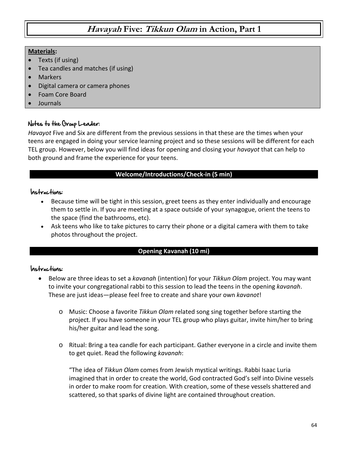# **Havayah Five: Tikkun Olam in Action, Part 1**

# **Materials:**

- Texts (if using)
- Tea candles and matches (if using)
- Markers
- Digital camera or camera phones
- Foam Core Board
- **Journals**

# Notes to the Group Leader:

*Havayot* Five and Six are different from the previous sessions in that these are the times when your teens are engaged in doing your service learning project and so these sessions will be different for each TEL group. However, below you will find ideas for opening and closing your *havayot* that can help to both ground and frame the experience for your teens.

# **Welcome/Introductions/Check‐in (5 min)**

# Instructions:

- Because time will be tight in this session, greet teens as they enter individually and encourage them to settle in. If you are meeting at a space outside of your synagogue, orient the teens to the space (find the bathrooms, etc).
- Ask teens who like to take pictures to carry their phone or a digital camera with them to take photos throughout the project.

# **Opening Kavanah (10 mi)**

# Instructions:

- Below are three ideas to set a *kavanah* (intention) for your *Tikkun Olam* project. You may want to invite your congregational rabbi to this session to lead the teens in the opening *kavanah*. These are just ideas—please feel free to create and share your own *kavanot*!
	- o Music: Choose a favorite *Tikkun Olam* related song sing together before starting the project. If you have someone in your TEL group who plays guitar, invite him/her to bring his/her guitar and lead the song.
	- o Ritual: Bring a tea candle for each participant. Gather everyone in a circle and invite them to get quiet. Read the following *kavanah*:

"The idea of *Tikkun Olam* comes from Jewish mystical writings. Rabbi Isaac Luria imagined that in order to create the world, God contracted God's self into Divine vessels in order to make room for creation. With creation, some of these vessels shattered and scattered, so that sparks of divine light are contained throughout creation.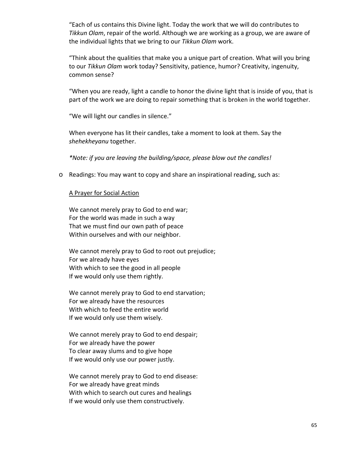"Each of us contains this Divine light. Today the work that we will do contributes to *Tikkun Olam*, repair of the world. Although we are working as a group, we are aware of the individual lights that we bring to our *Tikkun Olam* work.

"Think about the qualities that make you a unique part of creation. What will you bring to our *Tikkun Olam* work today? Sensitivity, patience, humor? Creativity, ingenuity, common sense?

"When you are ready, light a candle to honor the divine light that is inside of you, that is part of the work we are doing to repair something that is broken in the world together.

"We will light our candles in silence."

When everyone has lit their candles, take a moment to look at them. Say the *shehekheyanu* together.

*\*Note: if you are leaving the building/space, please blow out the candles!*

o Readings: You may want to copy and share an inspirational reading, such as:

#### A Prayer for Social Action

We cannot merely pray to God to end war; For the world was made in such a way That we must find our own path of peace Within ourselves and with our neighbor.

We cannot merely pray to God to root out prejudice; For we already have eyes With which to see the good in all people If we would only use them rightly.

We cannot merely pray to God to end starvation; For we already have the resources With which to feed the entire world If we would only use them wisely.

We cannot merely pray to God to end despair; For we already have the power To clear away slums and to give hope If we would only use our power justly.

We cannot merely pray to God to end disease: For we already have great minds With which to search out cures and healings If we would only use them constructively.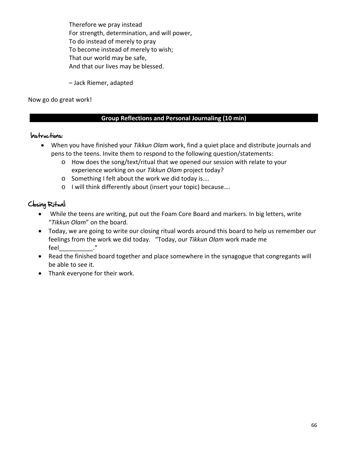Therefore we pray instead For strength, determination, and will power, To do instead of merely to pray To become instead of merely to wish; That our world may be safe, And that our lives may be blessed.

– Jack Riemer, adapted

Now go do great work!

# **Group Reflections and Personal Journaling (10 min)**

#### Instructions:

- When you have finished your *Tikkun Olam* work, find a quiet place and distribute journals and pens to the teens. Invite them to respond to the following question/statements:
	- o How does the song/text/ritual that we opened our session with relate to your experience working on our *Tikkun Olam* project today?
	- o Something I felt about the work we did today is….
	- o I will think differently about (insert your topic) because….

# Closing Ritual:

- While the teens are writing, put out the Foam Core Board and markers. In big letters, write "*Tikkun Olam*" on the board.
- Today, we are going to write our closing ritual words around this board to help us remember our feelings from the work we did today. "Today, our *Tikkun Olam* work made me feel\_\_\_\_\_\_\_\_\_\_."
- Read the finished board together and place somewhere in the synagogue that congregants will be able to see it.
- Thank everyone for their work.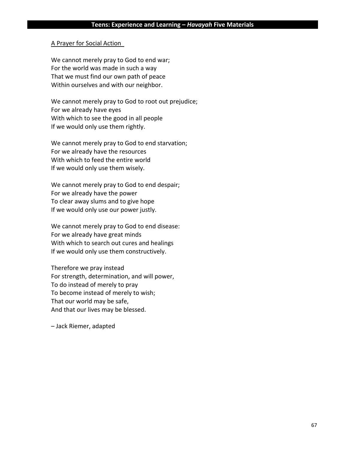#### A Prayer for Social Action

We cannot merely pray to God to end war; For the world was made in such a way That we must find our own path of peace Within ourselves and with our neighbor.

We cannot merely pray to God to root out prejudice; For we already have eyes With which to see the good in all people If we would only use them rightly.

We cannot merely pray to God to end starvation; For we already have the resources With which to feed the entire world If we would only use them wisely.

We cannot merely pray to God to end despair; For we already have the power To clear away slums and to give hope If we would only use our power justly.

We cannot merely pray to God to end disease: For we already have great minds With which to search out cures and healings If we would only use them constructively.

Therefore we pray instead For strength, determination, and will power, To do instead of merely to pray To become instead of merely to wish; That our world may be safe, And that our lives may be blessed.

– Jack Riemer, adapted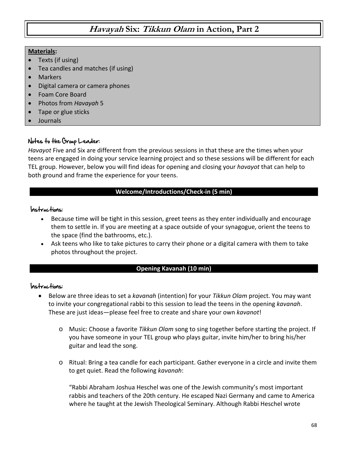# **Havayah Six: Tikkun Olam in Action, Part 2**

## **Materials:**

- Texts (if using)
- Tea candles and matches (if using)
- Markers
- Digital camera or camera phones
- Foam Core Board
- Photos from *Havayah* 5
- Tape or glue sticks
- Journals

# Notes to the Group Leader:

*Havayot* Five and Six are different from the previous sessions in that these are the times when your teens are engaged in doing your service learning project and so these sessions will be different for each TEL group. However, below you will find ideas for opening and closing your *havayot* that can help to both ground and frame the experience for your teens.

# **Welcome/Introductions/Check‐in (5 min)**

#### Instructions:

- Because time will be tight in this session, greet teens as they enter individually and encourage them to settle in. If you are meeting at a space outside of your synagogue, orient the teens to the space (find the bathrooms, etc.).
- Ask teens who like to take pictures to carry their phone or a digital camera with them to take photos throughout the project.

# **Opening Kavanah (10 min)**

# Instructions:

- Below are three ideas to set a *kavanah* (intention) for your *Tikkun Olam* project. You may want to invite your congregational rabbi to this session to lead the teens in the opening *kavanah*. These are just ideas—please feel free to create and share your own *kavanot*!
	- o Music: Choose a favorite *Tikkun Olam* song to sing together before starting the project. If you have someone in your TEL group who plays guitar, invite him/her to bring his/her guitar and lead the song.
	- o Ritual: Bring a tea candle for each participant. Gather everyone in a circle and invite them to get quiet. Read the following *kavanah*:

"Rabbi Abraham Joshua Heschel was one of the Jewish community's most important rabbis and teachers of the 20th century. He escaped Nazi Germany and came to America where he taught at the Jewish Theological Seminary. Although Rabbi Heschel wrote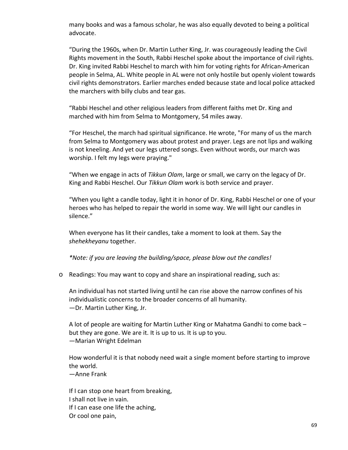many books and was a famous scholar, he was also equally devoted to being a political advocate.

"During the 1960s, when Dr. Martin Luther King, Jr. was courageously leading the Civil Rights movement in the South, Rabbi Heschel spoke about the importance of civil rights. Dr. King invited Rabbi Heschel to march with him for voting rights for African‐American people in Selma, AL. White people in AL were not only hostile but openly violent towards civil rights demonstrators. Earlier marches ended because state and local police attacked the marchers with billy clubs and tear gas.

"Rabbi Heschel and other religious leaders from different faiths met Dr. King and marched with him from Selma to Montgomery, 54 miles away.

"For Heschel, the march had spiritual significance. He wrote, "For many of us the march from Selma to Montgomery was about protest and prayer. Legs are not lips and walking is not kneeling. And yet our legs uttered songs. Even without words, our march was worship. I felt my legs were praying."

"When we engage in acts of *Tikkun Olam*, large or small, we carry on the legacy of Dr. King and Rabbi Heschel. Our *Tikkun Olam* work is both service and prayer.

"When you light a candle today, light it in honor of Dr. King, Rabbi Heschel or one of your heroes who has helped to repair the world in some way. We will light our candles in silence."

When everyone has lit their candles, take a moment to look at them. Say the *shehekheyanu* together.

*\*Note: if you are leaving the building/space, please blow out the candles!*

o Readings: You may want to copy and share an inspirational reading, such as:

An individual has not started living until he can rise above the narrow confines of his individualistic concerns to the broader concerns of all humanity. —Dr. Martin Luther King, Jr.

A lot of people are waiting for Martin Luther King or Mahatma Gandhi to come back – but they are gone. We are it. It is up to us. It is up to you. —Marian Wright Edelman

How wonderful it is that nobody need wait a single moment before starting to improve the world.

—Anne Frank

If I can stop one heart from breaking, I shall not live in vain. If I can ease one life the aching, Or cool one pain,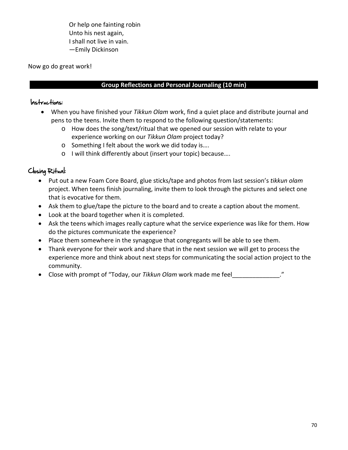Or help one fainting robin Unto his nest again, I shall not live in vain. —Emily Dickinson

Now go do great work!

# **Group Reflections and Personal Journaling (10 min)**

# Instructions:

- When you have finished your *Tikkun Olam* work, find a quiet place and distribute journal and pens to the teens. Invite them to respond to the following question/statements:
	- o How does the song/text/ritual that we opened our session with relate to your experience working on our *Tikkun Olam* project today?
	- o Something I felt about the work we did today is….
	- o I will think differently about (insert your topic) because….

# Closing Ritual:

- Put out a new Foam Core Board, glue sticks/tape and photos from last session's *tikkun olam* project. When teens finish journaling, invite them to look through the pictures and select one that is evocative for them.
- Ask them to glue/tape the picture to the board and to create a caption about the moment.
- Look at the board together when it is completed.
- Ask the teens which images really capture what the service experience was like for them. How do the pictures communicate the experience?
- Place them somewhere in the synagogue that congregants will be able to see them.
- Thank everyone for their work and share that in the next session we will get to process the experience more and think about next steps for communicating the social action project to the community.
- Close with prompt of "Today, our *Tikkun Olam* work made me feel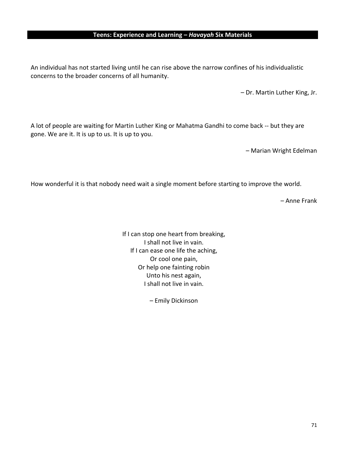# **Teens: Experience and Learning –** *Havayah* **Six Materials**

An individual has not started living until he can rise above the narrow confines of his individualistic concerns to the broader concerns of all humanity.

– Dr. Martin Luther King, Jr.

A lot of people are waiting for Martin Luther King or Mahatma Gandhi to come back ‐‐ but they are gone. We are it. It is up to us. It is up to you.

– Marian Wright Edelman

How wonderful it is that nobody need wait a single moment before starting to improve the world.

– Anne Frank

If I can stop one heart from breaking, I shall not live in vain. If I can ease one life the aching, Or cool one pain, Or help one fainting robin Unto his nest again, I shall not live in vain.

– Emily Dickinson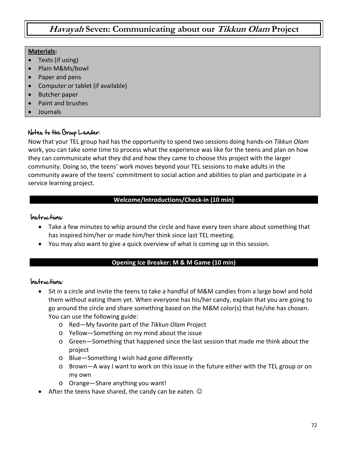# **Havayah Seven: Communicating about our Tikkun Olam Project**

# **Materials:**

- Texts (if using)
- Plain M&Ms/bowl
- Paper and pens
- Computer or tablet (if available)
- Butcher paper
- Paint and brushes
- Journals

# Notes to the Group Leader:

Now that your TEL group had has the opportunity to spend two sessions doing hands‐on *Tikkun Olam* work, you can take some time to process what the experience was like for the teens and plan on how they can communicate what they did and how they came to choose this project with the larger community. Doing so, the teens' work moves beyond your TEL sessions to make adults in the community aware of the teens' commitment to social action and abilities to plan and participate in a service learning project.

# **Welcome/Introductions/Check‐in (10 min)**

#### Instructions:

- Take a few minutes to whip around the circle and have every teen share about something that has inspired him/her or made him/her think since last TEL meeting.
- You may also want to give a quick overview of what is coming up in this session.

# **Opening Ice Breaker: M & M Game (10 min)**

# Instructions:

- Sit in a circle and invite the teens to take a handful of M&M candies from a large bowl and hold them without eating them yet. When everyone has his/her candy, explain that you are going to go around the circle and share something based on the M&M color(s) that he/she has chosen. You can use the following guide:
	- o Red—My favorite part of the *Tikkun Olam* Project
	- o Yellow—Something on my mind about the issue
	- o Green—Something that happened since the last session that made me think about the project
	- o Blue—Something I wish had gone differently
	- o Brown—A way I want to work on this issue in the future either with the TEL group or on my own
	- o Orange—Share anything you want!
- After the teens have shared, the candy can be eaten.  $\odot$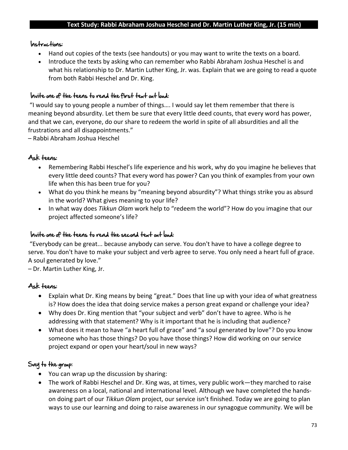#### Instructions:

- Hand out copies of the texts (see handouts) or you may want to write the texts on a board.
- Introduce the texts by asking who can remember who Rabbi Abraham Joshua Heschel is and what his relationship to Dr. Martin Luther King, Jr. was. Explain that we are going to read a quote from both Rabbi Heschel and Dr. King.

#### Invite one of the teens to read the first text out loud:

"I would say to young people a number of things…. I would say let them remember that there is meaning beyond absurdity. Let them be sure that every little deed counts, that every word has power, and that we can, everyone, do our share to redeem the world in spite of all absurdities and all the frustrations and all disappointments."

– Rabbi Abraham Joshua Heschel

#### Ask teens:

- Remembering Rabbi Heschel's life experience and his work, why do you imagine he believes that every little deed counts? That every word has power? Can you think of examples from your own life when this has been true for you?
- What do you think he means by "meaning beyond absurdity"? What things strike you as absurd in the world? What gives meaning to your life?
- In what way does *Tikkun Olam* work help to "redeem the world"? How do you imagine that our project affected someone's life?

#### Invite one of the teens to read the second text out loud:

"Everybody can be great... because anybody can serve. You don't have to have a college degree to serve. You don't have to make your subject and verb agree to serve. You only need a heart full of grace. A soul generated by love."

– Dr. Martin Luther King, Jr.

#### Ask teens:

- Explain what Dr. King means by being "great." Does that line up with your idea of what greatness is? How does the idea that doing service makes a person great expand or challenge your idea?
- Why does Dr. King mention that "your subject and verb" don't have to agree. Who is he addressing with that statement? Why is it important that he is including that audience?
- What does it mean to have "a heart full of grace" and "a soul generated by love"? Do you know someone who has those things? Do you have those things? How did working on our service project expand or open your heart/soul in new ways?

#### Say to the group:

- You can wrap up the discussion by sharing:
- The work of Rabbi Heschel and Dr. King was, at times, very public work—they marched to raise awareness on a local, national and international level. Although we have completed the hands‐ on doing part of our *Tikkun Olam* project, our service isn't finished. Today we are going to plan ways to use our learning and doing to raise awareness in our synagogue community. We will be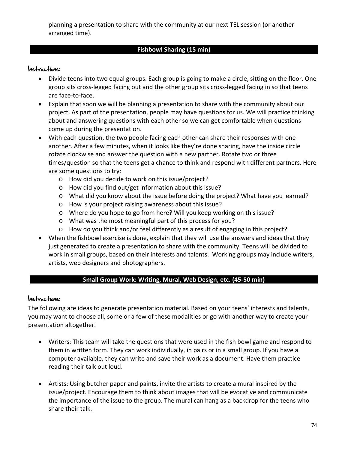planning a presentation to share with the community at our next TEL session (or another arranged time).

#### **Fishbowl Sharing (15 min)**

#### Instructions:

- Divide teens into two equal groups. Each group is going to make a circle, sitting on the floor. One group sits cross‐legged facing out and the other group sits cross‐legged facing in so that teens are face‐to‐face.
- Explain that soon we will be planning a presentation to share with the community about our project. As part of the presentation, people may have questions for us. We will practice thinking about and answering questions with each other so we can get comfortable when questions come up during the presentation.
- With each question, the two people facing each other can share their responses with one another. After a few minutes, when it looks like they're done sharing, have the inside circle rotate clockwise and answer the question with a new partner. Rotate two or three times/question so that the teens get a chance to think and respond with different partners. Here are some questions to try:
	- o How did you decide to work on this issue/project?
	- o How did you find out/get information about this issue?
	- o What did you know about the issue before doing the project? What have you learned?
	- o How is your project raising awareness about this issue?
	- o Where do you hope to go from here? Will you keep working on this issue?
	- o What was the most meaningful part of this process for you?
	- o How do you think and/or feel differently as a result of engaging in this project?
- When the fishbowl exercise is done, explain that they will use the answers and ideas that they just generated to create a presentation to share with the community. Teens will be divided to work in small groups, based on their interests and talents. Working groups may include writers, artists, web designers and photographers.

# **Small Group Work: Writing, Mural, Web Design, etc. (45‐50 min)**

#### Instructions:

The following are ideas to generate presentation material. Based on your teens' interests and talents, you may want to choose all, some or a few of these modalities or go with another way to create your presentation altogether.

- Writers: This team will take the questions that were used in the fish bowl game and respond to them in written form. They can work individually, in pairs or in a small group. If you have a computer available, they can write and save their work as a document. Have them practice reading their talk out loud.
- Artists: Using butcher paper and paints, invite the artists to create a mural inspired by the issue/project. Encourage them to think about images that will be evocative and communicate the importance of the issue to the group. The mural can hang as a backdrop for the teens who share their talk.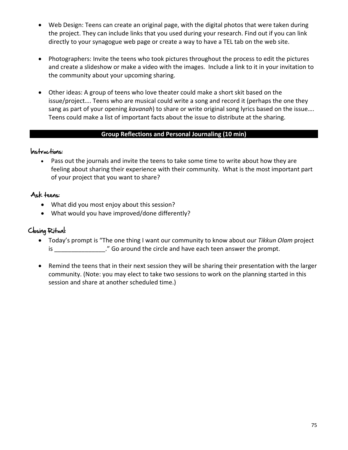- Web Design: Teens can create an original page, with the digital photos that were taken during the project. They can include links that you used during your research. Find out if you can link directly to your synagogue web page or create a way to have a TEL tab on the web site.
- Photographers: Invite the teens who took pictures throughout the process to edit the pictures and create a slideshow or make a video with the images. Include a link to it in your invitation to the community about your upcoming sharing.
- Other ideas: A group of teens who love theater could make a short skit based on the issue/project…. Teens who are musical could write a song and record it (perhaps the one they sang as part of your opening *kavanah*) to share or write original song lyrics based on the issue…. Teens could make a list of important facts about the issue to distribute at the sharing.

# **Group Reflections and Personal Journaling (10 min)**

#### Instructions:

 Pass out the journals and invite the teens to take some time to write about how they are feeling about sharing their experience with their community. What is the most important part of your project that you want to share?

# Ask teens:

- What did you most enjoy about this session?
- What would you have improved/done differently?

# Closing Ritual:

- Today's prompt is "The one thing I want our community to know about our *Tikkun Olam* project is  $\blacksquare$   $\blacksquare$  Go around the circle and have each teen answer the prompt.
- Remind the teens that in their next session they will be sharing their presentation with the larger community. (Note: you may elect to take two sessions to work on the planning started in this session and share at another scheduled time.)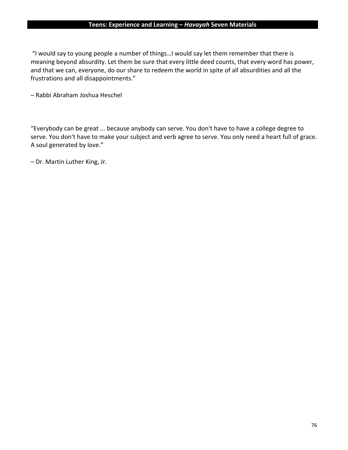#### **Teens: Experience and Learning –** *Havayah* **Seven Materials**

"I would say to young people a number of things…I would say let them remember that there is meaning beyond absurdity. Let them be sure that every little deed counts, that every word has power, and that we can, everyone, do our share to redeem the world in spite of all absurdities and all the frustrations and all disappointments."

– Rabbi Abraham Joshua Heschel

"Everybody can be great ... because anybody can serve. You don't have to have a college degree to serve. You don't have to make your subject and verb agree to serve. You only need a heart full of grace. A soul generated by love."

– Dr. Martin Luther King, Jr.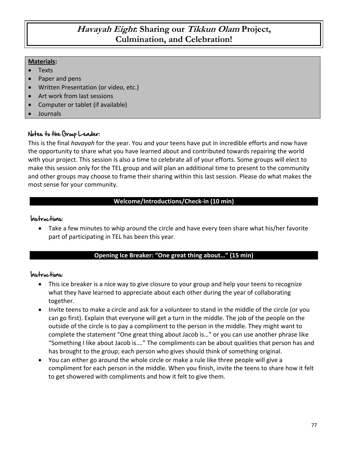# **Havayah Eight: Sharing our Tikkun Olam Project, Culmination, and Celebration!**

#### **Materials:**

- **Texts**
- Paper and pens
- Written Presentation (or video, etc.)
- Art work from last sessions
- Computer or tablet (if available)
- **Journals**

#### Notes to the Group Leader:

This is the final *havayah* for the year. You and your teens have put in incredible efforts and now have the opportunity to share what you have learned about and contributed towards repairing the world with your project. This session is also a time to celebrate all of your efforts. Some groups will elect to make this session only for the TEL group and will plan an additional time to present to the community and other groups may choose to frame their sharing within this last session. Please do what makes the most sense for your community.

#### **Welcome/Introductions/Check‐in (10 min)**

#### Instructions:

 Take a few minutes to whip around the circle and have every teen share what his/her favorite part of participating in TEL has been this year.

#### **Opening Ice Breaker: "One great thing about…" (15 min)**

#### Instructions:

- This ice breaker is a nice way to give closure to your group and help your teens to recognize what they have learned to appreciate about each other during the year of collaborating together.
- Invite teens to make a circle and ask for a volunteer to stand in the middle of the circle (or you can go first). Explain that everyone will get a turn in the middle. The job of the people on the outside of the circle is to pay a compliment to the person in the middle. They might want to complete the statement "One great thing about Jacob is…" or you can use another phrase like "Something I like about Jacob is…." The compliments can be about qualities that person has and has brought to the group; each person who gives should think of something original.
- You can either go around the whole circle or make a rule like three people will give a compliment for each person in the middle. When you finish, invite the teens to share how it felt to get showered with compliments and how it felt to give them.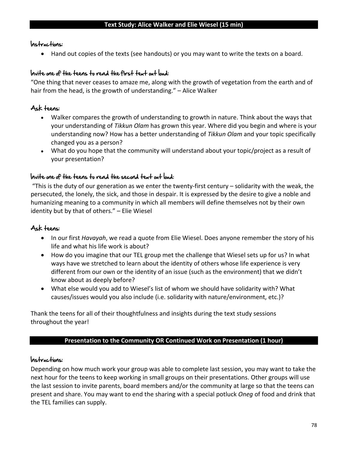Instructions:

Hand out copies of the texts (see handouts) or you may want to write the texts on a board.

# Invite one of the teens to read the first text out loud:

"One thing that never ceases to amaze me, along with the growth of vegetation from the earth and of hair from the head, is the growth of understanding." – Alice Walker

# Ask teens:

- Walker compares the growth of understanding to growth in nature. Think about the ways that your understanding of *Tikkun Olam* has grown this year. Where did you begin and where is your understanding now? How has a better understanding of *Tikkun Olam* and your topic specifically changed you as a person?
- What do you hope that the community will understand about your topic/project as a result of your presentation?

#### Invite one of the teens to read the second text out loud:

"This is the duty of our generation as we enter the twenty‐first century – solidarity with the weak, the persecuted, the lonely, the sick, and those in despair. It is expressed by the desire to give a noble and humanizing meaning to a community in which all members will define themselves not by their own identity but by that of others." – Elie Wiesel

### Ask teens:

- In our first *Havayah*, we read a quote from Elie Wiesel. Does anyone remember the story of his life and what his life work is about?
- How do you imagine that our TEL group met the challenge that Wiesel sets up for us? In what ways have we stretched to learn about the identity of others whose life experience is very different from our own or the identity of an issue (such as the environment) that we didn't know about as deeply before?
- What else would you add to Wiesel's list of whom we should have solidarity with? What causes/issues would you also include (i.e. solidarity with nature/environment, etc.)?

Thank the teens for all of their thoughtfulness and insights during the text study sessions throughout the year!

#### **Presentation to the Community OR Continued Work on Presentation (1 hour)**

#### Instructions:

Depending on how much work your group was able to complete last session, you may want to take the next hour for the teens to keep working in small groups on their presentations. Other groups will use the last session to invite parents, board members and/or the community at large so that the teens can present and share. You may want to end the sharing with a special potluck *Oneg* of food and drink that the TEL families can supply.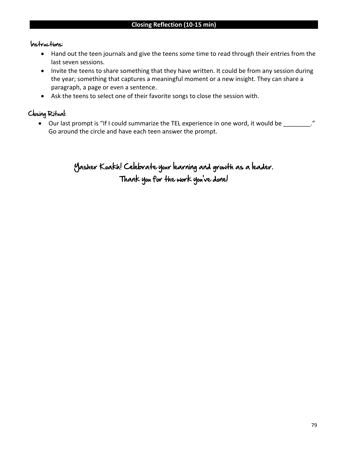#### Instructions:

- Hand out the teen journals and give the teens some time to read through their entries from the last seven sessions.
- Invite the teens to share something that they have written. It could be from any session during the year; something that captures a meaningful moment or a new insight. They can share a paragraph, a page or even a sentence.
- Ask the teens to select one of their favorite songs to close the session with.

# Closing Ritual:

• Our last prompt is "If I could summarize the TEL experience in one word, it would be  $\ddot{\hspace{1cm}}$ Go around the circle and have each teen answer the prompt.

> Yasher Koakh! Celebrate your learning and growth as a leader. Thank you for the work you've done!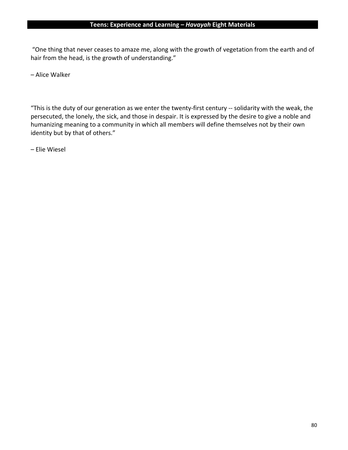"One thing that never ceases to amaze me, along with the growth of vegetation from the earth and of hair from the head, is the growth of understanding."

– Alice Walker

"This is the duty of our generation as we enter the twenty‐first century ‐‐ solidarity with the weak, the persecuted, the lonely, the sick, and those in despair. It is expressed by the desire to give a noble and humanizing meaning to a community in which all members will define themselves not by their own identity but by that of others."

– Elie Wiesel